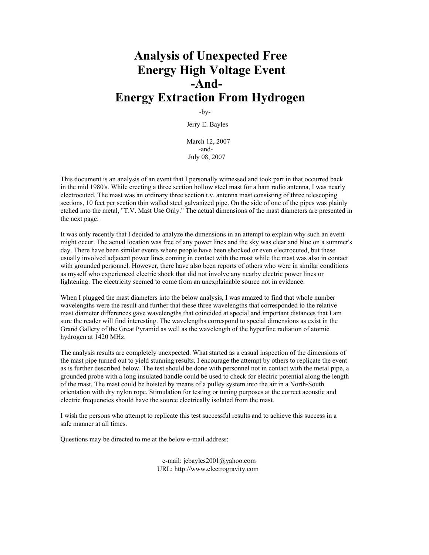# **Analysis of Unexpected Free Energy High Voltage Event -And-Energy Extraction From Hydrogen**

-by-

Jerry E. Bayles

March 12, 2007 -and- July 08, 2007

This document is an analysis of an event that I personally witnessed and took part in that occurred back in the mid 1980's. While erecting a three section hollow steel mast for a ham radio antenna, I was nearly electrocuted. The mast was an ordinary three section t.v. antenna mast consisting of three telescoping sections, 10 feet per section thin walled steel galvanized pipe. On the side of one of the pipes was plainly etched into the metal, "T.V. Mast Use Only." The actual dimensions of the mast diameters are presented in the next page.

It was only recently that I decided to analyze the dimensions in an attempt to explain why such an event might occur. The actual location was free of any power lines and the sky was clear and blue on a summer's day. There have been similar events where people have been shocked or even electrocuted, but these usually involved adjacent power lines coming in contact with the mast while the mast was also in contact with grounded personnel. However, there have also been reports of others who were in similar conditions as myself who experienced electric shock that did not involve any nearby electric power lines or lightening. The electricity seemed to come from an unexplainable source not in evidence.

When I plugged the mast diameters into the below analysis, I was amazed to find that whole number wavelengths were the result and further that these three wavelengths that corresponded to the relative mast diameter differences gave wavelengths that coincided at special and important distances that I am sure the reader will find interesting. The wavelengths correspond to special dimensions as exist in the Grand Gallery of the Great Pyramid as well as the wavelength of the hyperfine radiation of atomic hydrogen at 1420 MHz.

The analysis results are completely unexpected. What started as a casual inspection of the dimensions of the mast pipe turned out to yield stunning results. I encourage the attempt by others to replicate the event as is further described below. The test should be done with personnel not in contact with the metal pipe, a grounded probe with a long insulated handle could be used to check for electric potential along the length of the mast. The mast could be hoisted by means of a pulley system into the air in a North-South orientation with dry nylon rope. Stimulation for testing or tuning purposes at the correct acoustic and electric frequencies should have the source electrically isolated from the mast.

I wish the persons who attempt to replicate this test successful results and to achieve this success in a safe manner at all times.

Questions may be directed to me at the below e-mail address:

 e-mail: jebayles2001@yahoo.com URL: http://www.electrogravity.com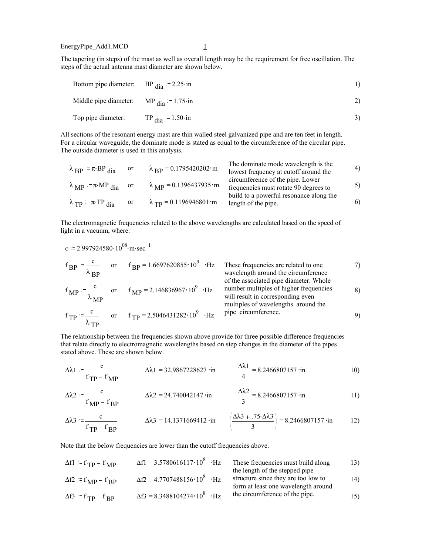EnergyPipe\_Add1.MCD 1

 $^\lambda\mathrm{TP}$ 

The tapering (in steps) of the mast as well as overall length may be the requirement for free oscillation. The steps of the actual antenna mast diameter are shown below.

| Bottom pipe diameter: BP $_{\text{dia}}$ = 2.25 in |    |
|----------------------------------------------------|----|
| Middle pipe diameter: MP $_{\text{dia}}$ = 1.75 in | 2) |
| Top pipe diameter: TP $_{\text{dia}}$ = 1.50 in    |    |

All sections of the resonant energy mast are thin walled steel galvanized pipe and are ten feet in length. For a circular waveguide, the dominate mode is stated as equal to the circumference of the circular pipe. The outside diameter is used in this analysis.

| $\lambda_{\rm BP} = \pi \cdot \text{BP}_{\rm dia}$          | or | $\lambda_{\rm BP} = 0.1795420202 \cdot m$           | The dominate mode wavelength is the<br>lowest frequency at cutoff around the | 4) |
|-------------------------------------------------------------|----|-----------------------------------------------------|------------------------------------------------------------------------------|----|
| $\lambda_{\text{MP}} = \pi \cdot \text{MP}_{\text{dia}}$ or |    | $\lambda_{\rm MP} = 0.1396437935 \cdot m$           | circumference of the pipe. Lower<br>frequencies must rotate 90 degrees to    | 5) |
| $\lambda_{\text{TP}}$ = $\pi$ ·TP dia                       | or | $\lambda_{\text{TP}} = 0.1196946801 \cdot \text{m}$ | build to a powerful resonance along the<br>length of the pipe.               | 6) |

The electromagnetic frequencies related to the above wavelengths are calculated based on the speed of light in a vacuum, where:

c := 2.997924580·10<sup>08</sup>·m·sec<sup>-1</sup>  
\nf<sub>BP</sub> := 
$$
\frac{c}{\lambda_{BP}}
$$
 or  $f_{BP} = 1.6697620855 \cdot 10^9 \cdot Hz$  These frequencies are related to one wavelength around the circumference  
\n $f_{MP} := \frac{c}{\lambda_{MP}}$  or  $f_{MP} = 2.146836967 \cdot 10^9 \cdot Hz$  number multiples of higher frequencies will result in corresponding even multiples of wavelengths around the  
\nf<sub>TP</sub> :=  $\frac{c}{\lambda_{MP}}$  or  $f_{TP} = 2.5046431282 \cdot 10^9 \cdot Hz$  pipe circumference.

The relationship between the frequencies shown above provide for three possible difference frequencies that relate directly to electromagnetic wavelengths based on step changes in the diameter of the pipes stated above. These are shown below.

$$
\Delta \lambda 1 := \frac{c}{f_{\text{TP}} - f_{\text{MP}}}
$$
\n
$$
\Delta \lambda 1 = 32.9867228627 \cdot \text{in}
$$
\n
$$
\frac{\Delta \lambda 1}{4} = 8.2466807157 \cdot \text{in}
$$
\n
$$
10)
$$

$$
\Delta \lambda 2 := \frac{c}{f_{\rm MP} - f_{\rm BP}} \qquad \Delta \lambda 2 = 24.740042147 \cdot \text{in} \qquad \frac{\Delta \lambda 2}{3} = 8.2466807157 \cdot \text{in} \qquad 11)
$$

$$
\Delta\lambda 3 := \frac{c}{f_{\text{TP}} - f_{\text{BP}}}
$$
\n
$$
\Delta\lambda 3 = 14.1371669412 \cdot \text{in} \quad \left(\frac{\Delta\lambda 3 + .75 \cdot \Delta\lambda 3}{3}\right) = 8.2466807157 \cdot \text{in} \quad 12)
$$

Note that the below frequencies are lower than the cutoff frequencies above.

| $\Delta f l = f_{\rm TP} - f_{\rm MP}$           | $\Delta f1 = 3.5780616117 \cdot 10^8$ · Hz | These frequencies must build along<br>the length of the stepped pipe       | 13) |
|--------------------------------------------------|--------------------------------------------|----------------------------------------------------------------------------|-----|
| $\Delta f2 = f_{MP} - f_{RP}$                    | $\Delta f2 = 4.7707488156 \cdot 10^8$ · Hz | structure since they are too low to<br>form at least one wavelength around | 14) |
| $\Delta f$ 3 = f <sub>TP</sub> – f <sub>RP</sub> | $\Delta f3 = 8.3488104274 \cdot 10^8$ ·Hz  | the circumference of the pipe.                                             | 15) |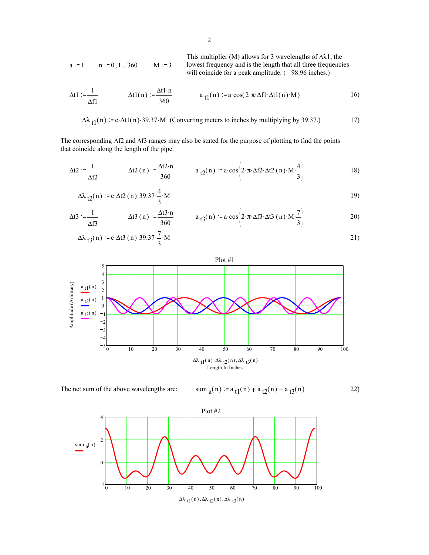This multiplier (M) allows for 3 wavelengths of 
$$
\Delta\lambda 1
$$
, the lowest frequency and is the length that all three frequencies will coincide for a peak amplitude. (= 98.96 inches.)

$$
\Delta t1 := \frac{1}{\Delta f1} \qquad \Delta t1(n) := \frac{\Delta t1 \cdot n}{360} \qquad a_{t1}(n) := a \cdot \cos(2 \cdot \pi \cdot \Delta f1 \cdot \Delta t1(n) \cdot M) \qquad 16)
$$

$$
\Delta\lambda_{t1}(n) = c \cdot \Delta t1(n) \cdot 39.37 \cdot M \quad \text{(Converting meters to inches by multiplying by 39.37.)}
$$

The corresponding ∆f2 and ∆f3 ranges may also be stated for the purpose of plotting to find the points that coincide along the length of the pipe.

$$
\Delta t2 := \frac{1}{\Delta f2} \qquad \Delta t2 \text{ (n)} := \frac{\Delta t2 \cdot n}{360} \qquad a_{t2}(n) := a \cdot \cos \left(2 \cdot \pi \cdot \Delta f2 \cdot \Delta t2 \text{ (n)} \cdot M \cdot \frac{4}{3}\right) \qquad (18)
$$

$$
\Delta\lambda_{12}(n) = c \cdot \Delta t \cdot 2(n) \cdot 39.37 \cdot \frac{4}{3} \cdot M
$$

$$
\Delta t \mathbf{3} := \frac{1}{\Delta f \mathbf{3}} \qquad \qquad \Delta t \mathbf{3} \text{ (n)} := \frac{\Delta t \mathbf{3} \cdot \mathbf{n}}{360} \qquad \qquad a_{t3}(n) := a \cdot \cos \left( 2 \cdot \pi \cdot \Delta f \mathbf{3} \cdot \Delta t \mathbf{3} \text{ (n)} \cdot \mathbf{M} \cdot \frac{7}{3} \right) \qquad \qquad \qquad 20)
$$

$$
\Delta\lambda_{13}(n) := c \cdot \Delta t \cdot 3(n) \cdot 39.37 \cdot \frac{7}{3} \cdot M
$$





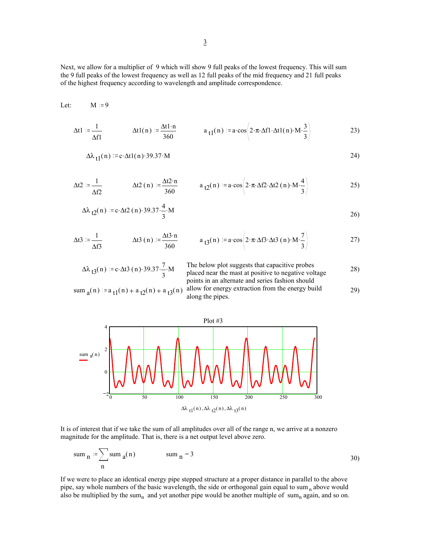Next, we allow for a multiplier of 9 which will show 9 full peaks of the lowest frequency. This will sum the 9 full peaks of the lowest frequency as well as 12 full peaks of the mid frequency and 21 full peaks of the highest frequency according to wavelength and amplitude correspondence.

$$
\Delta t1 := \frac{1}{\Delta f1} \qquad \Delta t1(n) := \frac{\Delta t1 \cdot n}{360} \qquad a_{t1}(n) := a \cdot \cos \left(2 \cdot \pi \cdot \Delta f1 \cdot \Delta t1(n) \cdot M \cdot \frac{3}{3}\right) \qquad (23)
$$

$$
\Delta\lambda_{t1}(n) = c \cdot \Delta t1(n) \cdot 39.37 \cdot M
$$

$$
\Delta t2 := \frac{1}{\Delta f2} \qquad \Delta t2 \text{ (n)} := \frac{\Delta t2 \cdot n}{360} \qquad a_{t2}(n) := a \cdot \cos \left(2 \cdot \pi \cdot \Delta f2 \cdot \Delta t2 \text{ (n)} \cdot M \cdot \frac{4}{3}\right) \qquad (25)
$$

$$
\Delta\lambda_{t2}(n) = c \cdot \Delta t2(n) \cdot 39.37 \cdot \frac{4}{3} \cdot M
$$

$$
\Delta t \mathbf{3} := \frac{1}{\Delta f \mathbf{3}} \qquad \qquad \Delta t \mathbf{3} \text{ (n)} := \frac{\Delta t \mathbf{3} \cdot \mathbf{n}}{360} \qquad \qquad a_{\mathbf{1} \mathbf{3}}(\mathbf{n}) := \mathbf{a} \cdot \cos \left( 2 \cdot \pi \cdot \Delta f \mathbf{3} \cdot \Delta t \mathbf{3} (\mathbf{n}) \cdot \mathbf{M} \cdot \frac{7}{3} \right) \tag{27}
$$

$$
\Delta\lambda_{t3}(n) := c \cdot \Delta t3(n) \cdot 39.37 \cdot \frac{7}{3} \cdot M
$$

Let:  $M = 9$ 

$$
\Delta\lambda_{t3}(n) = c \cdot \Delta t3(n) \cdot 39.37 \cdot \frac{7}{3} \cdot M
$$
\nThe below plot suggests that capacitive probes  
placed near the mast at positive to negative voltage  
points in an alternate and series fashion should  
along the pipes.



It is of interest that if we take the sum of all amplitudes over all of the range n, we arrive at a nonzero magnitude for the amplitude. That is, there is a net output level above zero.

sum <sub>n</sub> := 
$$
\sum_{n}
$$
 sum <sub>a</sub>(n) sum <sub>n</sub> = 3 30)

If we were to place an identical energy pipe stepped structure at a proper distance in parallel to the above pipe, say whole numbers of the basic wavelength, the side or orthogonal gain equal to sum<sub>n</sub> above would also be multiplied by the sum<sub>n</sub> and yet another pipe would be another multiple of sum<sub>n</sub> again, and so on.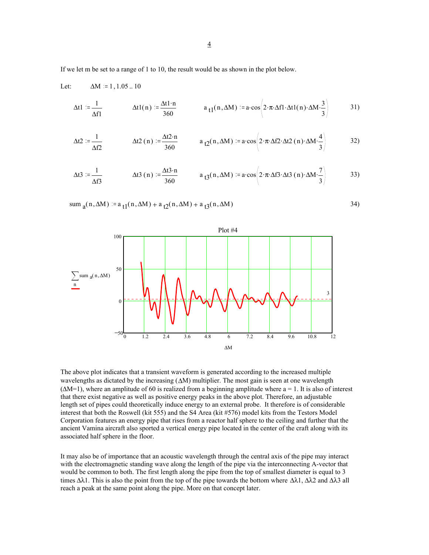If we let m be set to a range of 1 to 10, the result would be as shown in the plot below.

sum  $_a(n,\Delta M) = a_{t1}(n,\Delta M) + a_{t2}(n,\Delta M) + a_{t3}(n,\Delta M)$ 

Let: 
$$
\Delta M := 1, 1.05 ... 10
$$
  
\n
$$
\Delta t1 := \frac{1}{\Delta f1} \qquad \Delta t1(n) := \frac{\Delta t1 \cdot n}{360} \qquad a_{t1}(n, \Delta M) := a \cdot \cos \left(2 \cdot \pi \cdot \Delta f1 \cdot \Delta t1(n) \cdot \Delta M \cdot \frac{3}{3}\right) \qquad 31)
$$
\n
$$
\Delta t2 := \frac{1}{\Delta f2} \qquad \Delta t2(n) := \frac{\Delta t2 \cdot n}{360} \qquad a_{t2}(n, \Delta M) := a \cdot \cos \left(2 \cdot \pi \cdot \Delta f2 \cdot \Delta t2(n) \cdot \Delta M \cdot \frac{4}{3}\right) \qquad 32)
$$

$$
\Delta t \mathbf{3} := \frac{1}{\Delta f \mathbf{3}} \qquad \qquad \Delta t \mathbf{3} \text{ (n)} := \frac{\Delta t \mathbf{3} \cdot \mathbf{n}}{360} \qquad \qquad a_{t3}(\mathbf{n}, \Delta M) := \mathbf{a} \cdot \cos \left( 2 \cdot \pi \cdot \Delta f \mathbf{3} \cdot \Delta t \mathbf{3} \cdot (\mathbf{n}) \cdot \Delta M \cdot \frac{7}{3} \right) \qquad \qquad \mathbf{33}
$$



The above plot indicates that a transient waveform is generated according to the increased multiple wavelengths as dictated by the increasing (∆M) multiplier. The most gain is seen at one wavelength  $(\Delta M=1)$ , where an amplitude of 60 is realized from a beginning amplitude where a = 1. It is also of interest that there exist negative as well as positive energy peaks in the above plot. Therefore, an adjustable length set of pipes could theoretically induce energy to an external probe. It therefore is of considerable interest that both the Roswell (kit 555) and the S4 Area (kit #576) model kits from the Testors Model Corporation features an energy pipe that rises from a reactor half sphere to the ceiling and further that the ancient Vamina aircraft also sported a vertical energy pipe located in the center of the craft along with its associated half sphere in the floor.

It may also be of importance that an acoustic wavelength through the central axis of the pipe may interact with the electromagnetic standing wave along the length of the pipe via the interconnecting A-vector that would be common to both. The first length along the pipe from the top of smallest diameter is equal to 3 times  $\Delta\lambda$ 1. This is also the point from the top of the pipe towards the bottom where  $\Delta\lambda$ 1,  $\Delta\lambda$ 2 and  $\Delta\lambda$ 3 all reach a peak at the same point along the pipe. More on that concept later.

4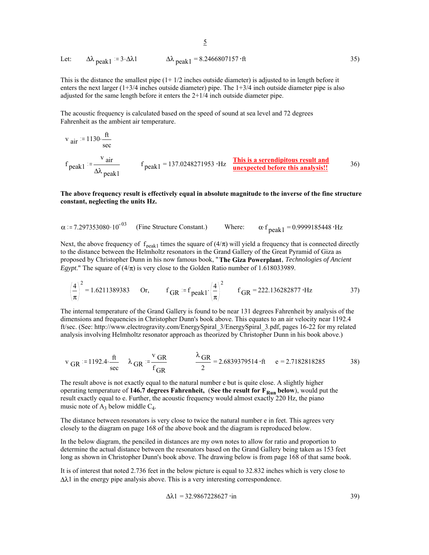Let: 
$$
\Delta\lambda_{\text{peak1}} = 3.2\lambda 1
$$
  $\Delta\lambda_{\text{peak1}} = 8.2466807157 \cdot ft$  35)

This is the distance the smallest pipe  $(1+1/2)$  inches outside diameter) is adjusted to in length before it enters the next larger (1+3/4 inches outside diameter) pipe. The 1+3/4 inch outside diameter pipe is also adjusted for the same length before it enters the 2+1/4 inch outside diameter pipe.

The acoustic frequency is calculated based on the speed of sound at sea level and 72 degrees Fahrenheit as the ambient air temperature.

$$
v_{air} = 1130 \cdot \frac{ft}{sec}
$$
  
\n $f_{peak1} = \frac{v_{air}}{\Delta\lambda_{peak1}}$   $f_{peak1} = 137.0248271953 \cdot Hz$  This is a serendipitous result and inexpected before this analysis! 36)

**The above frequency result is effectively equal in absolute magnitude to the inverse of the fine structure constant, neglecting the units Hz.**

 $\alpha$  = 7.297353080.10<sup>-03</sup> (Fine Structure Constant.) Where:  $\alpha$  f  $_{\text{peak1}}$  = 0.9999185448 · Hz

Next, the above frequency of  $f_{\text{peak1}}$  times the square of  $(4/\pi)$  will yield a frequency that is connected directly to the distance between the Helmholtz resonators in the Grand Gallery of the Great Pyramid of Giza as proposed by Christopher Dunn in his now famous book, "**The Giza Powerplant**, *Technologies of Ancient Egypt*." The square of  $(4/\pi)$  is very close to the Golden Ratio number of 1.618033989.

$$
\left(\frac{4}{\pi}\right)^2 = 1.6211389383
$$
 Or,  $f_{GR} = f_{peak1} \cdot \left(\frac{4}{\pi}\right)^2$   $f_{GR} = 222.136282877 \cdot Hz$  37)

The internal temperature of the Grand Gallery is found to be near 131 degrees Fahrenheit by analysis of the dimensions and frequencies in Christopher Dunn's book above. This equates to an air velocity near 1192.4 ft/sec. (See: http://www.electrogravity.com/EnergySpiral\_3/EnergySpiral\_3.pdf, pages 16-22 for my related analysis involving Helmholtz resonator approach as theorized by Christopher Dunn in his book above.)

$$
v_{GR}
$$
 = 1192.4  $\frac{ft}{sec}$   $\lambda_{GR}$  =  $\frac{v_{GR}}{f_{GR}}$   $\frac{\lambda_{GR}}{2}$  = 2.6839379514  $\cdot$ ft e = 2.7182818285 38)

The result above is not exactly equal to the natural number e but is quite close. A slightly higher operating temperature of 146.7 degrees Fahrenheit, (See the result for F<sub>Run</sub> below), would put the result exactly equal to e. Further, the acoustic frequency would almost exactly 220 Hz, the piano music note of  $A_3$  below middle  $C_4$ .

The distance between resonators is very close to twice the natural number e in feet. This agrees very closely to the diagram on page 168 of the above book and the diagram is reproduced below.

In the below diagram, the penciled in distances are my own notes to allow for ratio and proportion to determine the actual distance between the resonators based on the Grand Gallery being taken as 153 feet long as shown in Christopher Dunn's book above. The drawing below is from page 168 of that same book.

It is of interest that noted 2.736 feet in the below picture is equal to 32.832 inches which is very close to  $\Delta\lambda$ 1 in the energy pipe analysis above. This is a very interesting correspondence.

$$
\Delta \lambda 1 = 32.9867228627 \cdot in \tag{39}
$$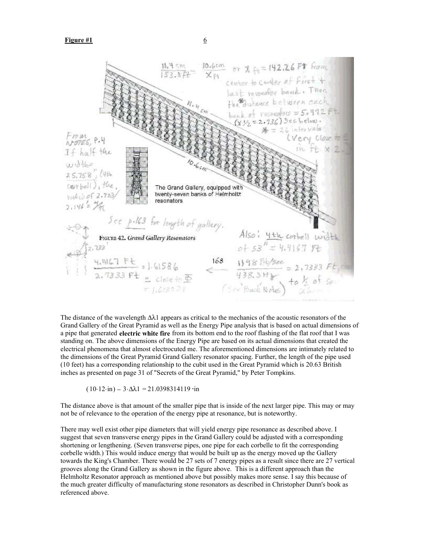

The distance of the wavelength  $\Delta\lambda$ 1 appears as critical to the mechanics of the acoustic resonators of the Grand Gallery of the Great Pyramid as well as the Energy Pipe analysis that is based on actual dimensions of a pipe that generated **electric white fire** from its bottom end to the roof flashing of the flat roof that I was standing on. The above dimensions of the Energy Pipe are based on its actual dimensions that created the electrical phenomena that almost electrocuted me. The aforementioned dimensions are intimately related to the dimensions of the Great Pyramid Grand Gallery resonator spacing. Further, the length of the pipe used (10 feet) has a corresponding relationship to the cubit used in the Great Pyramid which is 20.63 British inches as presented on page 31 of "Secrets of the Great Pyramid," by Peter Tompkins.

 $(10.12 \cdot in) - 3. \Delta \lambda_1 = 21.0398314119 \cdot in$ 

The distance above is that amount of the smaller pipe that is inside of the next larger pipe. This may or may not be of relevance to the operation of the energy pipe at resonance, but is noteworthy.

There may well exist other pipe diameters that will yield energy pipe resonance as described above. I suggest that seven transverse energy pipes in the Grand Gallery could be adjusted with a corresponding shortening or lengthening. (Seven transverse pipes, one pipe for each corbelle to fit the corresponding corbelle width.) This would induce energy that would be built up as the energy moved up the Gallery towards the King's Chamber. There would be 27 sets of 7 energy pipes as a result since there are 27 vertical grooves along the Grand Gallery as shown in the figure above. This is a different approach than the Helmholtz Resonator approach as mentioned above but possibly makes more sense. I say this because of the much greater difficulty of manufacturing stone resonators as described in Christopher Dunn's book as referenced above.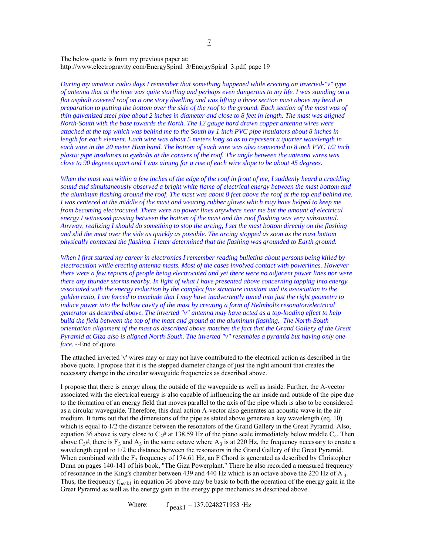The below quote is from my previous paper at: http://www.electrogravity.com/EnergySpiral\_3/EnergySpiral\_3.pdf, page 19

*During my amateur radio days I remember that something happened while erecting an inverted-"v" type of antenna that at the time was quite startling and perhaps even dangerous to my life. I was standing on a flat asphalt covered roof on a one story dwelling and was lifting a three section mast above my head in preparation to putting the bottom over the side of the roof to the ground. Each section of the mast was of thin galvanized steel pipe about 2 inches in diameter and close to 8 feet in length. The mast was aligned North-South with the base towards the North. The 12 gauge hard drawn copper antenna wires were attached at the top which was behind me to the South by 1 inch PVC pipe insulators about 8 inches in length for each element. Each wire was about 5 meters long so as to represent a quarter wavelength in each wire in the 20 meter Ham band. The bottom of each wire was also connected to 8 inch PVC 1/2 inch plastic pipe insulators to eyebolts at the corners of the roof. The angle between the antenna wires was close to 90 degrees apart and I was aiming for a rise of each wire slope to be about 45 degrees.*

*When the mast was within a few inches of the edge of the roof in front of me, I suddenly heard a crackling sound and simultaneously observed a bright white flame of electrical energy between the mast bottom and the aluminum flashing around the roof. The mast was about 8 feet above the roof at the top end behind me. I* was centered at the middle of the mast and wearing rubber gloves which may have helped to keep me *from becoming electrocuted. There were no power lines anywhere near me but the amount of electrical energy I witnessed passing between the bottom of the mast and the roof flashing was very substantial. Anyway, realizing I should do something to stop the arcing, I set the mast bottom directly on the flashing and slid the mast over the side as quickly as possible. The arcing stopped as soon as the mast bottom physically contacted the flashing. I later determined that the flashing was grounded to Earth ground.*

*When I first started my career in electronics I remember reading bulletins about persons being killed by electrocution while erecting antenna masts. Most of the cases involved contact with powerlines. However there were a few reports of people being electrocuted and yet there were no adjacent power lines nor were there any thunder storms nearby. In light of what I have presented above concerning tapping into energy associated with the energy reduction by the complex fine structure constant and its association to the golden ratio, I am forced to conclude that I may have inadvertently tuned into just the right geometry to induce power into the hollow cavity of the mast by creating a form of Helmholtz resonator/electrical generator as described above. The inverted "v" antenna may have acted as a top-loading effect to help build the field between the top of the mast and ground at the aluminum flashing. The North-South orientation alignment of the mast as described above matches the fact that the Grand Gallery of the Great Pyramid at Giza also is aligned North-South. The inverted "v" resembles a pyramid but having only one face.* --End of quote.

The attached inverted 'v' wires may or may not have contributed to the electrical action as described in the above quote. I propose that it is the stepped diameter change of just the right amount that creates the necessary change in the circular waveguide frequencies as described above.

I propose that there is energy along the outside of the waveguide as well as inside. Further, the A-vector associated with the electrical energy is also capable of influencing the air inside and outside of the pipe due to the formation of an energy field that moves parallel to the axis of the pipe which is also to be considered as a circular waveguide. Therefore, this dual action A-vector also generates an acoustic wave in the air medium. It turns out that the dimensions of the pipe as stated above generate a key wavelength (eq. 10) which is equal to 1/2 the distance between the resonators of the Grand Gallery in the Great Pyramid. Also, equation 36 above is very close to  $C_3$ # at 138.59 Hz of the piano scale immediately below middle  $C_4$ . Then above  $C_3$ <sup>#</sup>, there is F<sub>3</sub> and A<sub>3</sub> in the same octave where A<sub>3</sub> is at 220 Hz, the frequency necessary to create a wavelength equal to 1/2 the distance between the resonators in the Grand Gallery of the Great Pyramid. When combined with the  $F_3$  frequency of 174.61 Hz, an F Chord is generated as described by Christopher Dunn on pages 140-141 of his book, "The Giza Powerplant." There he also recorded a measured frequency of resonance in the King's chamber between 439 and 440 Hz which is an octave above the 220 Hz of A 3. Thus, the frequency  $f_{peak1}$  in equation 36 above may be basic to both the operation of the energy gain in the Great Pyramid as well as the energy gain in the energy pipe mechanics as described above.

Where:  $f_{\text{peak}1} = 137.0248271953 \cdot Hz$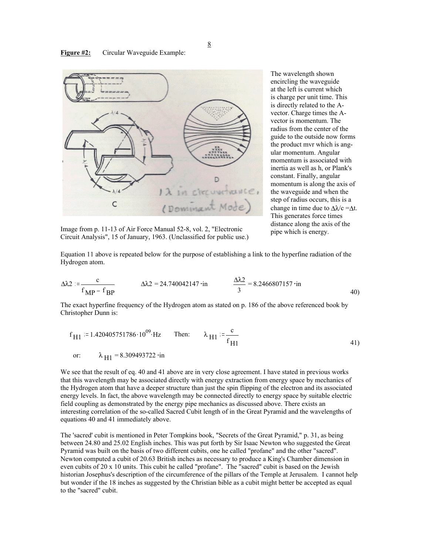#### **Figure #2:** Circular Waveguide Example:



The wavelength shown encircling the waveguide at the left is current which is charge per unit time. This is directly related to the Avector. Charge times the Avector is momentum. The radius from the center of the guide to the outside now forms the product mvr which is angular momentum. Angular momentum is associated with inertia as well as h, or Plank's constant. Finally, angular momentum is along the axis of the waveguide and when the step of radius occurs, this is a change in time due to  $\Delta \lambda/c = \Delta t$ . This generates force times distance along the axis of the

Image from p. 11-13 of Air Force Manual 52-8, vol. 2, "Electronic pipe which is energy. Circuit Analysis", 15 of January, 1963. (Unclassified for public use.)

Equation 11 above is repeated below for the purpose of establishing a link to the hyperfine radiation of the Hydrogen atom.

$$
\Delta\lambda 2 := \frac{c}{f_{\rm MP} - f_{\rm BP}} \qquad \Delta\lambda 2 = 24.740042147 \cdot \text{in} \qquad \frac{\Delta\lambda 2}{3} = 8.2466807157 \cdot \text{in} \qquad 40)
$$

The exact hyperfine frequency of the Hydrogen atom as stated on p. 186 of the above referenced book by Christopher Dunn is:

$$
f_{\text{H1}} = 1.420405751786 \cdot 10^{09} \cdot \text{Hz}
$$
 Then:  $\lambda_{\text{H1}} = \frac{c}{f_{\text{H1}}}$  (41)  
or:  $\lambda_{\text{H1}} = 8.309493722 \cdot \text{in}$ 

We see that the result of eq. 40 and 41 above are in very close agreement. I have stated in previous works that this wavelength may be associated directly with energy extraction from energy space by mechanics of the Hydrogen atom that have a deeper structure than just the spin flipping of the electron and its associated energy levels. In fact, the above wavelength may be connected directly to energy space by suitable electric field coupling as demonstrated by the energy pipe mechanics as discussed above. There exists an interesting correlation of the so-called Sacred Cubit length of in the Great Pyramid and the wavelengths of equations 40 and 41 immediately above.

The 'sacred' cubit is mentioned in Peter Tompkins book, "Secrets of the Great Pyramid," p. 31, as being between 24.80 and 25.02 English inches. This was put forth by Sir Isaac Newton who suggested the Great Pyramid was built on the basis of two different cubits, one he called "profane" and the other "sacred". Newton computed a cubit of 20.63 British inches as necessary to produce a King's Chamber dimension in even cubits of 20 x 10 units. This cubit he called "profane". The "sacred" cubit is based on the Jewish historian Josephus's description of the circumference of the pillars of the Temple at Jerusalem. I cannot help but wonder if the 18 inches as suggested by the Christian bible as a cubit might better be accepted as equal to the "sacred" cubit.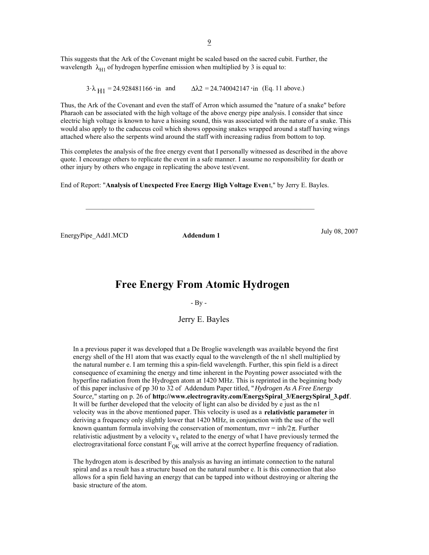This suggests that the Ark of the Covenant might be scaled based on the sacred cubit. Further, the wavelength  $\lambda_{H1}$  of hydrogen hyperfine emission when multiplied by 3 is equal to:

3. $\lambda_{\text{H1}}$  = 24.928481166 in and  $\Delta \lambda$ 2 = 24.740042147 in (Eq. 11 above.)

Thus, the Ark of the Covenant and even the staff of Arron which assumed the "nature of a snake" before Pharaoh can be associated with the high voltage of the above energy pipe analysis. I consider that since electric high voltage is known to have a hissing sound, this was associated with the nature of a snake. This would also apply to the caduceus coil which shows opposing snakes wrapped around a staff having wings attached where also the serpents wind around the staff with increasing radius from bottom to top.

This completes the analysis of the free energy event that I personally witnessed as described in the above quote. I encourage others to replicate the event in a safe manner. I assume no responsibility for death or other injury by others who engage in replicating the above test/event.

End of Report: "**Analysis of Unexpected Free Energy High Voltage Even**t," by Jerry E. Bayles.

EnergyPipe\_Add1.MCD **Addendum 1** July 08, 2007

 $\mathcal{L}_\text{max} = \mathcal{L}_\text{max} = \mathcal{L}_\text{max} = \mathcal{L}_\text{max} = \mathcal{L}_\text{max} = \mathcal{L}_\text{max} = \mathcal{L}_\text{max} = \mathcal{L}_\text{max} = \mathcal{L}_\text{max} = \mathcal{L}_\text{max} = \mathcal{L}_\text{max} = \mathcal{L}_\text{max} = \mathcal{L}_\text{max} = \mathcal{L}_\text{max} = \mathcal{L}_\text{max} = \mathcal{L}_\text{max} = \mathcal{L}_\text{max} = \mathcal{L}_\text{max} = \mathcal{$ 

## **Free Energy From Atomic Hydrogen**

- By -

Jerry E. Bayles

In a previous paper it was developed that a De Broglie wavelength was available beyond the first energy shell of the H1 atom that was exactly equal to the wavelength of the n1 shell multiplied by the natural number e. I am terming this a spin-field wavelength. Further, this spin field is a direct consequence of examining the energy and time inherent in the Poynting power associated with the hyperfine radiation from the Hydrogen atom at 1420 MHz. This is reprinted in the beginning body of this paper inclusive of pp 30 to 32 of Addendum Paper titled, "*Hydrogen As A Free Energy Source,*" starting on p. 26 of **http://www.electrogravity.com/EnergySpiral\_3/EnergySpiral\_3.pdf**. It will be further developed that the velocity of light can also be divided by e just as the n1 velocity was in the above mentioned paper. This velocity is used as a **relativistic parameter** in deriving a frequency only slightly lower that 1420 MHz, in conjunction with the use of the well known quantum formula involving the conservation of momentum, mvr = inh/ $2\pi$ . Further relativistic adjustment by a velocity  $v_x$  related to the energy of what I have previously termed the electrogravitational force constant  $F_{OK}$  will arrive at the correct hyperfine frequency of radiation.

The hydrogen atom is described by this analysis as having an intimate connection to the natural spiral and as a result has a structure based on the natural number e. It is this connection that also allows for a spin field having an energy that can be tapped into without destroying or altering the basic structure of the atom.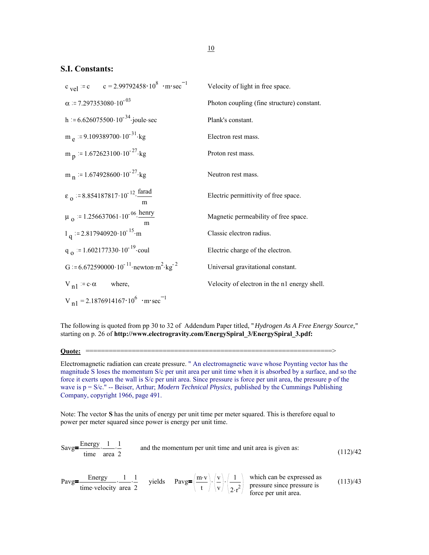## **S.I. Constants:**

| c <sub>vel</sub> = c c = 2.99792458 $\cdot$ 10 <sup>8</sup> $\cdot$ m $\cdot$ sec <sup>-1</sup> | Velocity of light in free space.             |
|-------------------------------------------------------------------------------------------------|----------------------------------------------|
| $\alpha$ = 7.297353080 · 10 <sup>-03</sup>                                                      | Photon coupling (fine structure) constant.   |
| h = $6.626075500 \cdot 10^{-34}$ ·joule·sec                                                     | Plank's constant.                            |
| m $_{\rm e}$ = 9.109389700 $\cdot$ 10 <sup>-31</sup> $\cdot$ kg                                 | Electron rest mass.                          |
| m <sub>n</sub> = 1.672623100 $\cdot 10^{-27}$ kg                                                | Proton rest mass.                            |
| m <sub>n</sub> = 1.674928600 $\cdot$ 10 <sup>-27</sup> $\cdot$ kg                               | Neutron rest mass.                           |
| $\epsilon_0$ = 8.854187817.10 <sup>-12</sup> . <u>farad</u><br>m                                | Electric permittivity of free space.         |
| $\mu_0$ = 1.256637061.10 <sup>-06</sup> henry                                                   | Magnetic permeability of free space.         |
| $1_{\text{q}}$ = 2.817940920.10 <sup>-15</sup> ·m                                               | Classic electron radius.                     |
| $q_{\Omega}$ = 1.602177330.10 <sup>-19</sup> coul                                               | Electric charge of the electron.             |
| G = 6.672590000 $\cdot 10^{-11}$ newton $m^2$ kg <sup>-2</sup>                                  | Universal gravitational constant.            |
| $V_{n1} = c \cdot \alpha$<br>where,                                                             | Velocity of electron in the n1 energy shell. |
| $V_{n1}$ = 2.1876914167 $\cdot$ 10 <sup>6</sup> $\cdot$ m $\cdot$ sec <sup>-1</sup>             |                                              |

The following is quoted from pp 30 to 32 of Addendum Paper titled, "*Hydrogen As A Free Energy Source,*" starting on p. 26 of **http://www.electrogravity.com/EnergySpiral\_3/EnergySpiral\_3.pdf:**

## **Quote:** ================================================================>

Electromagnetic radiation can create pressure. " An electromagnetic wave whose Poynting vector has the magnitude S loses the momentum S/c per unit area per unit time when it is absorbed by a surface, and so the force it exerts upon the wall is S/c per unit area. Since pressure is force per unit area, the pressure p of the wave is p = S/c." -- Beiser, Arthur; *Modern Technical Physics,* published by the Cummings Publishing Company, copyright 1966, page 491.

Note: The vector **S** has the units of energy per unit time per meter squared. This is therefore equal to power per meter squared since power is energy per unit time.

Savg=
$$
\frac{\text{Energy}}{\text{time}}
$$
  $\frac{1}{\text{area } 2}$  and the momentum per unit time and unit area is given as:  
\n
$$
Payg = \frac{\text{Energy}}{\text{time velocity}} \cdot \frac{1}{\text{area } 2} \cdot \frac{1}{2}
$$
\nyields 
$$
Payg = \left(\frac{\text{m} \cdot \text{v}}{\text{t}}\right) \cdot \left(\frac{\text{v}}{\text{v}}\right) \cdot \left(\frac{1}{2 \cdot \text{r}^2}\right)
$$
\nwhich can be expressed as pressure since pressure is force per unit area. (113)/43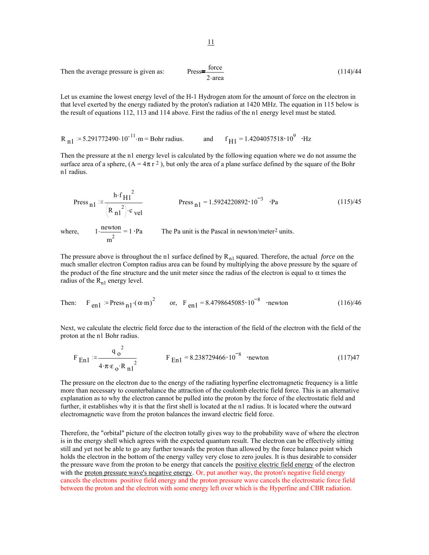Then the average pressure is given as: 
$$
Press = \frac{force}{2 \cdot area}
$$
 (114)/44

Let us examine the lowest energy level of the H-1 Hydrogen atom for the amount of force on the electron in that level exerted by the energy radiated by the proton's radiation at 1420 MHz. The equation in 115 below is the result of equations 112, 113 and 114 above. First the radius of the n1 energy level must be stated.

<sup>R</sup> n1 5.291772490.10 . <sup>11</sup> <sup>m</sup> = Bohr radius. and <sup>f</sup> <sup>=</sup> H1 1.4204057518 <sup>10</sup><sup>9</sup> Hz

Then the pressure at the n1 energy level is calculated by the following equation where we do not assume the surface area of a sphere,  $(A = 4\pi r^2)$ , but only the area of a plane surface defined by the square of the Bohr n1 radius.

Press 
$$
_{n1} = \frac{h \cdot f_{H1}^2}{(R_{n1}^2) \cdot c_{vel}}
$$
 Press  $_{n1} = 1.5924220892 \cdot 10^{-3} \cdot Pa$  (115)/45

where,  $1 \cdot \frac{\text{newton}}{\text{1}} =$  $m<sup>2</sup>$ The Pa unit is the Pascal in newton/meter<sup>2</sup> units.

The pressure above is throughout the n1 surface defined by R<sub>n1</sub> squared. Therefore, the actual *force* on the much smaller electron Compton radius area can be found by multiplying the above pressure by the square of the product of the fine structure and the unit meter since the radius of the electron is equal to  $\alpha$  times the radius of the  $R_{n1}$  energy level.

Then: 
$$
F_{en1} = \text{Press}_{n1} \cdot (\alpha \cdot m)^2
$$
 or,  $F_{en1} = 8.4798645085 \cdot 10^{-8}$  newton (116)/46

Next, we calculate the electric field force due to the interaction of the field of the electron with the field of the proton at the n1 Bohr radius.

$$
F_{En1} := \frac{q_0^2}{4 \cdot \pi \epsilon_0 \cdot R_{n1}^2}
$$
  $F_{En1} = 8.238729466 \cdot 10^{-8}$  'newton (117)47

The pressure on the electron due to the energy of the radiating hyperfine electromagnetic frequency is a little more than necessary to counterbalance the attraction of the coulomb electric field force. This is an alternative explanation as to why the electron cannot be pulled into the proton by the force of the electrostatic field and further, it establishes why it is that the first shell is located at the n1 radius. It is located where the outward electromagnetic wave from the proton balances the inward electric field force.

Therefore, the "orbital" picture of the electron totally gives way to the probability wave of where the electron is in the energy shell which agrees with the expected quantum result. The electron can be effectively sitting still and yet not be able to go any further towards the proton than allowed by the force balance point which holds the electron in the bottom of the energy valley very close to zero joules. It is thus desirable to consider the pressure wave from the proton to be energy that cancels the positive electric field energy of the electron with the proton pressure wave's negative energy. Or, put another way, the proton's negative field energy cancels the electrons positive field energy and the proton pressure wave cancels the electrostatic force field between the proton and the electron with some energy left over which is the Hyperfine and CBR radiation.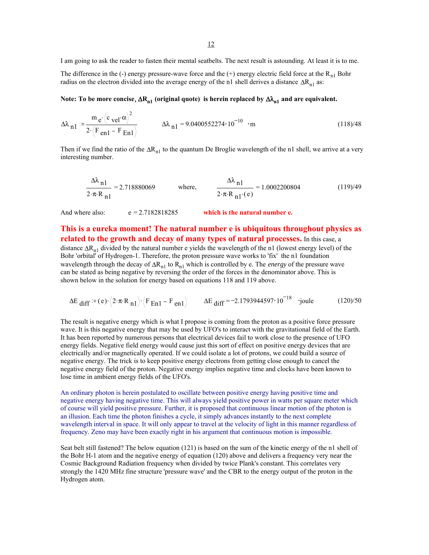I am going to ask the reader to fasten their mental seatbelts. The next result is astounding. At least it is to me.

The difference in the (-) energy pressure-wave force and the (+) energy electric field force at the  $R_{n1}$  Bohr radius on the electron divided into the average energy of the n1 shell derives a distance  $\Delta R_{n1}$  as:

#### Note: To be more concise,  $\Delta R_{n1}$  (original quote) is herein replaced by  $\Delta \lambda_{n1}$  and are equivalent.

$$
\Delta\lambda_{n1} = \frac{m e^{(c} \text{vel}^{\alpha})^2}{2 (F_{en1} - F_{En1})}
$$
\n
$$
\Delta\lambda_{n1} = 9.0400552274 \cdot 10^{-10} \cdot m
$$
\n(118)/48

Then if we find the ratio of the  $\Delta R_{n1}$  to the quantum De Broglie wavelength of the n1 shell, we arrive at a very interesting number.

$$
\frac{\Delta\lambda_{n1}}{2 \cdot \pi \cdot R_{n1}} = 2.718880069 \quad \text{where,} \quad \frac{\Delta\lambda_{n1}}{2 \cdot \pi \cdot R_{n1} \cdot (e)} = 1.0002200804 \quad (119)/49
$$

And where also:  $e = 2.7182818285$  which is the natural number e.

### **This is a eureka moment! The natural number e is ubiquitous throughout physics as related to the growth and decay of many types of natural processes.** In this case, a distance  $\Delta R_{n1}$  divided by the natural number e yields the wavelength of the n1 (lowest energy level) of the Bohr 'orbital' of Hydrogen-1. Therefore, the proton pressure wave works to 'fix' the n1 foundation wavelength through the decay of ∆Rn1 to Rn1 which is controlled by e. The *energy* of the pressure wave can be stated as being negative by reversing the order of the forces in the denominator above. This is shown below in the solution for energy based on equations 118 and 119 above.

$$
\Delta E_{\text{diff}} = (e) \cdot (2 \cdot \pi \cdot R_{\text{nl}}) \cdot (F_{\text{En1}} - F_{\text{en1}}) \qquad \Delta E_{\text{diff}} = -2.1793944597 \cdot 10^{-18} \text{ 'joule} \qquad (120)/50
$$

The result is negative energy which is what I propose is coming from the proton as a positive force pressure wave. It is this negative energy that may be used by UFO's to interact with the gravitational field of the Earth. It has been reported by numerous persons that electrical devices fail to work close to the presence of UFO energy fields. Negative field energy would cause just this sort of effect on positive energy devices that are electrically and/or magnetically operated. If we could isolate a lot of protons, we could build a source of negative energy. The trick is to keep positive energy electrons from getting close enough to cancel the negative energy field of the proton. Negative energy implies negative time and clocks have been known to lose time in ambient energy fields of the UFO's.

An ordinary photon is herein postulated to oscillate between positive energy having positive time and negative energy having negative time. This will always yield positive power in watts per square meter which of course will yield positive pressure. Further, it is proposed that continuous linear motion of the photon is an illusion. Each time the photon finishes a cycle, it simply advances instantly to the next complete wavelength interval in space. It will only appear to travel at the velocity of light in this manner regardless of frequency. Zeno may have been exactly right in his argument that continuous motion is impossible.

Seat belt still fastened? The below equation (121) is based on the sum of the kinetic energy of the n1 shell of the Bohr H-1 atom and the negative energy of equation (120) above and delivers a frequency very near the Cosmic Background Radiation frequency when divided by twice Plank's constant. This correlates very strongly the 1420 MHz fine structure 'pressure wave' and the CBR to the energy output of the proton in the Hydrogen atom.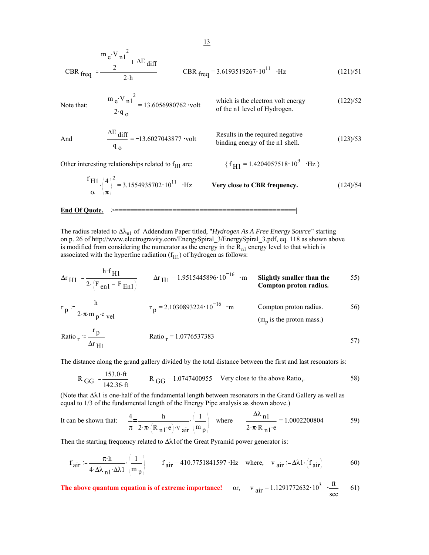CBR 
$$
_{freq} = \frac{m_e \cdot V_{n1}^2}{2 \cdot h} + \Delta E_{diff}
$$
  
CBR  $_{freq} = 3.6193519267 \cdot 10^{11} \cdot Hz$  (121)/51

Note that: 
$$
\frac{m_e \cdot V_{n1}^2}{2 \cdot q_o} = 13.6056980762 \text{ volt} \qquad \text{which is the electron volt energy} \qquad (122)/52
$$

And 
$$
\frac{\Delta E}{q_o} = -13.6027043877
$$
 volt Results in the required negative binding energy of the n1 shell. (123)/53

Other interesting relationships related to  $f_{H1}$  are:  $\{f_{H1} = 1.4204057518 \cdot 10^9 \text{ }\cdot \text{Hz}\}$ 

$$
\frac{f_{\text{H1}}}{\alpha} \left(\frac{4}{\pi}\right)^2 = 3.1554935702 \cdot 10^{11} \quad \text{Hz}
$$
 \nVery close to CBR frequency. \n(124)/54

#### **End Of Quote.**

The radius related to ∆λn1 of Addendum Paper titled, "*Hydrogen As A Free Energy Source*" starting on p. 26 of http://www.electrogravity.com/EnergySpiral\_3/EnergySpiral\_3.pdf, eq. 118 as shown above is modified from considering the numerator as the energy in the  $R_{n1}$  energy level to that which is associated with the hyperfine radiation  $(f_{H1})$  of hydrogen as follows:

$$
\Delta r_{\text{H1}} = \frac{h \cdot f_{\text{H1}}}{2 \cdot (F_{\text{en1}} - F_{\text{En1}})} \qquad \Delta r_{\text{H1}} = 1.9515445896 \cdot 10^{-16} \cdot \text{m} \qquad \text{Slightly smaller than the} \qquad \text{Compton proton radius.}
$$
\n
$$
r_{\text{p}} = \frac{h}{2 \cdot \pi \cdot \text{m}_{\text{p}} \cdot \text{c}} \qquad \text{r}_{\text{p}} = 2.1030893224 \cdot 10^{-16} \cdot \text{m} \qquad \text{Compton proton radius.}
$$
\n
$$
r_{\text{p}} = 2.1030893224 \cdot 10^{-16} \cdot \text{m} \qquad \text{Compton proton radius.}
$$
\n
$$
r_{\text{p}} = 1.0776527382 \qquad \text{(m}_{\text{p}} \text{ is the proton mass.})
$$

Ratio 
$$
r = \frac{P}{\Delta r_{\text{H1}}}
$$
 Ratio 
$$
r = 1.0776537383
$$

The distance along the grand gallery divided by the total distance between the first and last resonators is:

$$
R_{GG} = \frac{153.0 \cdot ft}{142.36 \cdot ft}
$$
  $R_{GG} = 1.0747400955$  Very close to the above Ratio. 58)

(Note that ∆λ1 is one-half of the fundamental length between resonators in the Grand Gallery as well as equal to 1/3 of the fundamental length of the Energy Pipe analysis as shown above.)

It can be shown that: 
$$
\frac{4}{\pi} = \frac{h}{2 \cdot \pi \cdot (R_{n1} \cdot e) \cdot v_{air}} \cdot \left(\frac{1}{m_p}\right)
$$
 where  $\frac{\Delta \lambda_{n1}}{2 \cdot \pi \cdot R_{n1} \cdot e} = 1.0002200804$  59)

Then the starting frequency related to Δλ1of the Great Pyramid power generator is:

$$
f_{\text{air}} := \frac{\pi \cdot h}{4 \cdot \Delta \lambda_{n1} \cdot \Delta \lambda_1} \cdot \left(\frac{1}{m_p}\right)
$$
  $f_{\text{air}} = 410.7751841597 \cdot Hz$  where,  $v_{\text{air}} := \Delta \lambda_1 \cdot \left(f_{\text{air}}\right)$  (60)

**The above quantum equation is of extreme importance!** or,  $v_{air} = 1.1291772632 \cdot 10^3 \cdot \frac{ft}{sec}$ 61)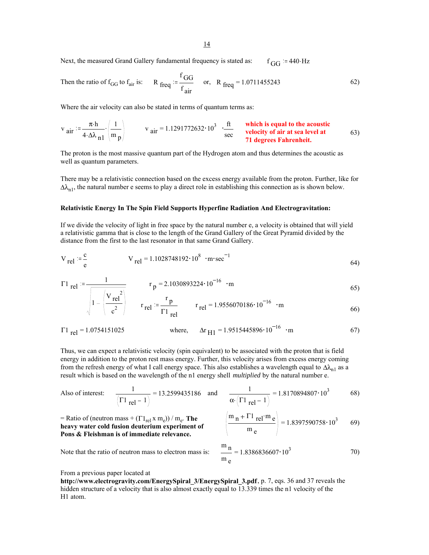14

Next, the measured Grand Gallery fundamental frequency is stated as:  $f_{\text{GG}} = 440 \text{ Hz}$ 

Then the ratio of f<sub>GG</sub> to f<sub>air</sub> is: R 
$$
f_{\text{freq}} := \frac{f_{GG}}{f_{\text{air}}}
$$
 or, R  $f_{\text{freq}} = 1.0711455243$  (62)

Where the air velocity can also be stated in terms of quantum terms as:

$$
v_{\text{air}} = \frac{\pi \cdot h}{4 \cdot \Delta \lambda_{n1}} \cdot \left(\frac{1}{m_p}\right) \qquad v_{\text{air}} = 1.1291772632 \cdot 10^3 \cdot \frac{ft}{\text{sec}} \qquad \text{which is equal to the acoustic velocity of air at sea level at 63} \qquad 63)
$$

The proton is the most massive quantum part of the Hydrogen atom and thus determines the acoustic as well as quantum parameters.

There may be a relativistic connection based on the excess energy available from the proton. Further, like for  $\Delta\lambda_{n1}$ , the natural number e seems to play a direct role in establishing this connection as is shown below.

#### **Relativistic Energy In The Spin Field Supports Hyperfine Radiation And Electrogravitation:**

If we divide the velocity of light in free space by the natural number e, a velocity is obtained that will yield a relativistic gamma that is close to the length of the Grand Gallery of the Great Pyramid divided by the distance from the first to the last resonator in that same Grand Gallery.

$$
V_{\text{rel}} := \frac{c}{e}
$$
  $V_{\text{rel}} = 1.1028748192 \cdot 10^8 \cdot \text{m} \cdot \text{sec}^{-1}$  (64)

$$
\Gamma1_{\text{rel}} := \frac{1}{\sqrt{1-\frac{1}{2}}}
$$
\n
$$
r_p = 2.1030893224 \cdot 10^{-16} \cdot m
$$
\n(65)

$$
\sqrt{1 - \left(\frac{V_{\text{rel}}^2}{c^2}\right)}
$$
  $r_{\text{rel}} = \frac{r_p}{\Gamma 1_{\text{rel}}}$   $r_{\text{rel}} = 1.9556070186 \cdot 10^{-16}$   $\cdot$ m (66)

$$
\Gamma1_{\text{rel}} = 1.0754151025
$$
 where,  $\Delta r_{\text{H1}} = 1.9515445896 \cdot 10^{-16}$  m (67)

Thus, we can expect a relativistic velocity (spin equivalent) to be associated with the proton that is field energy in addition to the proton rest mass energy. Further, this velocity arises from excess energy coming from the refresh energy of what I call energy space. This also establishes a wavelength equal to  $\Delta\lambda_{n1}$  as a result which is based on the wavelength of the n1 energy shell *multiplied* by the natural number e.

Also of interest: 
$$
\frac{1}{(\Gamma1 \text{ rel} - 1)} = 13.2599435186
$$
 and  $\frac{1}{\alpha \cdot (\Gamma1 \text{ rel} - 1)} = 1.8170894807 \cdot 10^3$  68)

 $=$  Ratio of (neutron mass  $+$  ( $\Gamma1_{rel}$  x m<sub>e</sub>)) / m<sub>e</sub>. **The heavy water cold fusion deuterium experiment of Pons & Fleishman is of immediate relevance.**

$$
\left(\frac{m_{n} + \Gamma1_{rel} \cdot m_{e}}{m_{e}}\right) = 1.8397590758 \cdot 10^{3} \qquad 69)
$$

Note that the ratio of neutron mass to electron mass is:

$$
\frac{m}{m}\frac{n}{e} = 1.8386836607 \cdot 10^3 \tag{70}
$$

From a previous paper located at

**http://www.electrogravity.com/EnergySpiral\_3/EnergySpiral\_3.pdf**, p. 7, eqs. 36 and 37 reveals the hidden structure of a velocity that is also almost exactly equal to 13.339 times the n1 velocity of the H1 atom.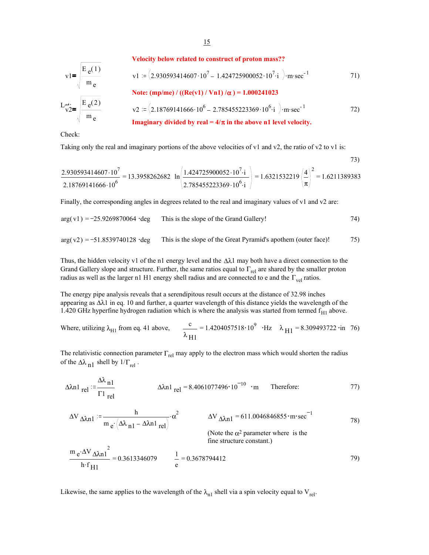**Velocity below related to construct of proton mass??**

$$
v1 = \sqrt{\frac{E_e(1)}{m_e}}
$$
  
\n
$$
v1 := (2.930593414607 \cdot 10^7 - 1.424725900052 \cdot 10^7 \cdot i) \cdot m\cdot sec^{-1}
$$
  
\n
$$
L_{v2}^{at.} = \sqrt{\frac{E_e(2)}{m_e}}
$$
  
\n
$$
v2 := (2.18769141666 \cdot 10^6 - 2.785455223369 \cdot 10^6 \cdot i) \cdot m\cdot sec^{-1}
$$
  
\n
$$
T1)
$$
  
\n
$$
v2 := (2.18769141666 \cdot 10^6 - 2.785455223369 \cdot 10^6 \cdot i) \cdot m\cdot sec^{-1}
$$
  
\n
$$
T2)
$$

Check:

 $\overline{1}$ 

Taking only the real and imaginary portions of the above velocities of v1 and v2, the ratio of v2 to v1 is:

$$
\frac{2.930593414607 \cdot 10^7}{2.18769141666 \cdot 10^6} = 13.3958262682 \ln \left( \frac{1.424725900052 \cdot 10^7 \cdot i}{2.785455223369 \cdot 10^6 \cdot i} \right) = 1.6321532219 \left( \frac{4}{\pi} \right)^2 = 1.6211389383
$$

73)

Finally, the corresponding angles in degrees related to the real and imaginary values of v1 and v2 are:

$$
arg(v1) = -25.9269870064 \cdot deg
$$
 This is the slope of the Grand Gallery!

$$
arg(v2) = -51.8539740128
$$
 'deg This is the slope of the Great Pyramid's apother (outer face)! 75)

Thus, the hidden velocity v1 of the n1 energy level and the  $\Delta\lambda$ 1 may both have a direct connection to the Grand Gallery slope and structure. Further, the same ratios equal to  $\Gamma_{rel}$  are shared by the smaller proton radius as well as the larger n1 H1 energy shell radius and are connected to e and the  $\Gamma_{\text{vel}}$  ratios.

The energy pipe analysis reveals that a serendipitous result occurs at the distance of 32.98 inches appearing as ∆λ1 in eq. 10 and further, a quarter wavelength of this distance yields the wavelength of the 1.420 GHz hyperfine hydrogen radiation which is where the analysis was started from termed  $f_{H1}$  above.

Where, utilizing 
$$
\lambda_{H1}
$$
 from eq. 41 above,  $\frac{c}{\lambda_{H1}} = 1.4204057518 \cdot 10^9 \cdot Hz$   $\lambda_{H1} = 8.309493722 \cdot in$  76)

The relativistic connection parameter  $\Gamma_{rel}$  may apply to the electron mass which would shorten the radius of the  $\Delta\lambda$ <sub>n1</sub> shell by  $1/\Gamma_{rel}$ .

$$
\Delta \lambda n1_{\text{rel}} := \frac{\Delta \lambda_{n1}}{\Gamma 1_{\text{rel}}} \qquad \Delta \lambda n1_{\text{rel}} = 8.4061077496 \cdot 10^{-10} \cdot \text{m} \qquad \text{Therefore:} \qquad \qquad 77)
$$

$$
\Delta V_{\Delta\lambda n1} := \frac{h}{m_e \left(\Delta\lambda_{n1} - \Delta\lambda n1_{rel}\right)} \cdot \alpha^2
$$
\n
$$
\Delta V_{\Delta\lambda n1} = 611.0046846855 \cdot m \cdot sec^{-1}
$$
\n(78)

(Note the  $\alpha^2$  parameter where is the fine structure constant.)

$$
\frac{m e^{i\Delta V} \Delta \lambda n^2}{h \cdot f_{H1}} = 0.3613346079
$$
\n
$$
\frac{1}{e} = 0.3678794412
$$
\n(79)

Likewise, the same applies to the wavelength of the  $\lambda_{n1}$  shell via a spin velocity equal to V<sub>rel</sub>.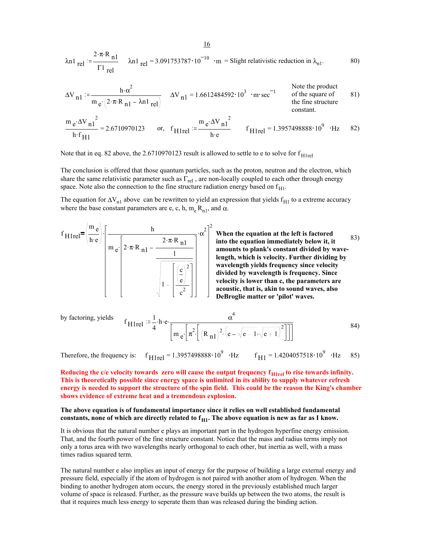$$
\lambda n1_{\text{rel}} := \frac{2 \cdot \pi \cdot R_{\text{nl}}}{\Gamma 1_{\text{rel}}} \quad \lambda n1_{\text{rel}} = 3.091753787 \cdot 10^{-10} \cdot m = \text{Slight relativistic reduction in } \lambda_{\text{nl}}.
$$

$$
\Delta V_{n1} := \frac{h \cdot \alpha^2}{m e \cdot (2 \cdot \pi \cdot R_{n1} - \lambda n 1_{rel})} \quad \Delta V_{n1} = 1.6612484592 \cdot 10^3 \cdot m \cdot sec^{-1} \quad \text{Note the product of the square of the figure 81} + m \cdot sec^{-1} \quad \text{where } V_{n1} = 1.6612484592 \cdot 10^3 \cdot m \cdot sec^{-1} \quad \text{where } V_{n2} = 1.6612484592 \cdot 10^3 \cdot 10^3 \cdot sec^{-1} \quad \text{where } V_{n1} = 1.6612484592 \cdot 10^3 \cdot 10^3 \cdot sec^{-1} \quad \text{where } V_{n2} = 1.6612484592 \cdot 10^3 \cdot sec^{-1} \quad \text{where } V_{n1} = 1.6612484592 \cdot 10^3 \cdot sec^{-1} \quad \text{where } V_{n1} = 1.6612484592 \cdot 10^3 \cdot sec^{-1} \quad \text{where } V_{n1} = 1.6612484592 \cdot 10^3 \cdot sec^{-1} \quad \text{where } V_{n1} = 1.6612484592 \cdot 10^3 \cdot sec^{-1} \quad \text{where } V_{n1} = 1.6612484592 \cdot 10^3 \cdot sec^{-1} \quad \text{where } V_{n2} = 1.6612484592 \cdot 10^3 \cdot sec^{-1} \quad \text{where } V_{n1} = 1.6612484592 \cdot 10^3 \cdot sec^{-1} \quad \text{where } V_{n1} = 1.6612484592 \cdot 10^3 \cdot sec^{-1} \quad \text{where } V_{n1} = 1.6612484592 \cdot 10^3 \cdot sec^{-1} \quad \text{where } V_{n1} = 1.6612484592 \cdot 10^3 \cdot sec^{-1} \quad \text{where } V_{n1} = 1.6612484592 \cdot 10^3 \cdot sec^{-1} \quad \text{where } V_{n1} = 1.6612484592 \cdot 10^3 \cdot sec^{-1} \quad \text{where } V
$$

$$
\frac{m_{e} \cdot \Delta V_{n1}^{2}}{h \cdot f_{H1}} = 2.6710970123 \quad \text{or, } f_{H1 \text{rel}} := \frac{m_{e} \cdot \Delta V_{n1}^{2}}{h \cdot e} \quad f_{H1 \text{rel}} = 1.3957498888 \cdot 10^{9} \cdot \text{Hz} \quad 82)
$$

Note that in eq. 82 above, the  $2.6710970123$  result is allowed to settle to e to solve for  $f<sub>H1rel</sub>$ 

The conclusion is offered that those quantum particles, such as the proton, neutron and the electron, which share the same relativistic parameter such as  $\Gamma_{\text{rel}}$ , are non-locally coupled to each other through energy space. Note also the connection to the fine structure radiation energy based on  $f_{H1}$ .

The equation for  $\Delta V_{n1}$  above can be rewritten to yield an expression that yields f<sub>H1</sub> to a extreme accuracy where the base constant parameters are e, c, h,  $m_e R_{n1}$ , and  $\alpha$ .

$$
f_{\text{H1rel}} = \left(\frac{m_e}{h \cdot e}\right) \cdot \left[\frac{h}{m_e \left[2 \cdot \pi \cdot R_{n1} - \frac{2 \cdot \pi \cdot R_{n1}}{1} \right]} \cdot \alpha^2\right]^2
$$
  
 $\sqrt{1 - \left[\frac{c}{e}\right]^2}$ 

**When the equation at the left is factored into the equation immediately below it, it amounts to plank's constant divided by wavelength, which is velocity. Further dividing by wavelength yields frequency since velocity divided by wavelength is frequency. Since velocity is lower than c, the parameters are acoustic, that is, akin to sound waves, also DeBroglie matter or 'pilot' waves.** 83)

by factoring, yields 
$$
f_{\text{H1rel}} = \frac{1}{4} \cdot h \cdot e \cdot \frac{\alpha^4}{\left[ m_e \left[ \pi^2 \left[ \left( R_{\text{n1}} \right)^2 \cdot \left( e - \sqrt{e - 1} \cdot \sqrt{e + 1} \right)^2 \right] \right] \right]}
$$
 84)

Therefore, the frequency is:  $f_{\text{H1rel}} = 1.3957498888 \cdot 10^9 \cdot \text{Hz}$   $f_{\text{H1}} = 1.4204057518 \cdot 10^9 \cdot \text{Hz}$  85)

Reducing the c/e velocity towards zero will cause the output frequency  $f_{\text{H1rel}}$  to rise towards infinity. **This is theoretically possible since energy space is unlimited in its ability to supply whatever refresh energy is needed to support the structure of the spin field. This could be the reason the King's chamber shows evidence of extreme heat and a tremendous explosion.**

#### **The above equation is of fundamental importance since it relies on well established fundamental**  constants, none of which are directly related to  $f_{H1}$ . The above equation is new as far as I know.

It is obvious that the natural number e plays an important part in the hydrogen hyperfine energy emission. That, and the fourth power of the fine structure constant. Notice that the mass and radius terms imply not only a torus area with two wavelengths nearly orthogonal to each other, but inertia as well, with a mass times radius squared term.

The natural number e also implies an input of energy for the purpose of building a large external energy and pressure field, especially if the atom of hydrogen is not paired with another atom of hydrogen. When the binding to another hydrogen atom occurs, the energy stored in the previously established much larger volume of space is released. Further, as the pressure wave builds up between the two atoms, the result is that it requires much less energy to seperate them than was released during the binding action.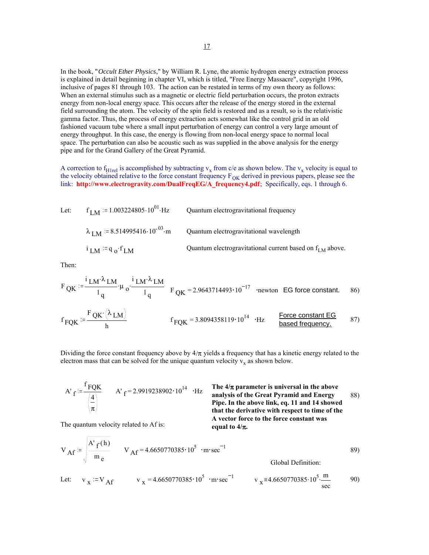In the book, "*Occult Ether Physics*," by William R. Lyne, the atomic hydrogen energy extraction process is explained in detail beginning in chapter VI, which is titled, "Free Energy Massacre", copyright 1996, inclusive of pages 81 through 103. The action can be restated in terms of my own theory as follows: When an external stimulus such as a magnetic or electric field perturbation occurs, the proton extracts energy from non-local energy space. This occurs after the release of the energy stored in the external field surrounding the atom. The velocity of the spin field is restored and as a result, so is the relativistic gamma factor. Thus, the process of energy extraction acts somewhat like the control grid in an old fashioned vacuum tube where a small input perturbation of energy can control a very large amount of energy throughput. In this case, the energy is flowing from non-local energy space to normal local space. The perturbation can also be acoustic such as was supplied in the above analysis for the energy pipe and for the Grand Gallery of the Great Pyramid.

A correction to f<sub>H1rel</sub> is accomplished by subtracting  $v_x$  from c/e as shown below. The  $v_x$  velocity is equal to the velocity obtained relative to the force constant frequency  $F_{OK}$  derived in previous papers, please see the link: **http://www.electrogravity.com/DualFreqEG/A\_frequency4.pdf**; Specifically, eqs. 1 through 6.

Let: 
$$
f_{LM} = 1.003224805 \cdot 10^{01} \cdot Hz
$$
 Quantum electrogravitational frequency  
\n $\lambda_{LM} = 8.514995416 \cdot 10^{-03} \cdot m$  Quantum electrogravitational wavelength  
\n $i_{LM} := q_0 \cdot f_{LM}$  Quantum electrogravitational current based on  $f_{LM}$  above.

Then:

$$
F_{\text{QK}} := \frac{F_{\text{QK}} \cdot \left(\lambda_{\text{LM}}\right)}{I_q} \cdot \mu_0 \cdot \frac{i_{\text{LM}} \cdot \lambda_{\text{LM}}}{I_q} \quad F_{\text{QK}} = 2.9643714493 \cdot 10^{-17} \quad \text{Newton} \quad \text{EG force constant.} \tag{86}
$$
\n
$$
f_{\text{FQK}} := \frac{F_{\text{QK}} \cdot \left(\lambda_{\text{LM}}\right)}{h} \qquad \qquad f_{\text{FQK}} = 3.8094358119 \cdot 10^{14} \quad \text{Hz} \qquad \frac{\text{Force constant EG}}{\text{based frequency.}} \tag{87}
$$

Dividing the force constant frequency above by  $4/\pi$  yields a frequency that has a kinetic energy related to the electron mass that can be solved for the unique quantum velocity  $v_x$  as shown below.

A' 
$$
f = \frac{f_{\text{FQK}}}{\left(\frac{4}{\pi}\right)}
$$
 A'  $f = 2.9919238902 \cdot 10^{14}$  ·Hz

**The 4/**π **parameter is universal in the above**   $A'_{\text{f}}$  = 2.9919238902 · 10<sup>14</sup> · Hz **The 4/** $\pi$  parameter is universal in the above<br>analysis of the Great Pyramid and Energy 88) **Pipe. In the above link, eq. 11 and 14 showed that the derivative with respect to time of the A vector force to the force constant was equal to 4/**π**.**

The quantum velocity related to Af is:

$$
V_{\text{Af}} := \sqrt{\frac{A'_{f}(h)}{m_{e}}} \qquad V_{\text{Af}} = 4.6650770385 \cdot 10^{5} \cdot m \cdot \text{sec}^{-1}
$$

Let: 
$$
v_x := V_{Af}
$$
  $v_x = 4.6650770385 \cdot 10^5 \cdot m \cdot sec^{-1}$   $v_x = 4.6650770385 \cdot 10^5 \cdot \frac{m}{sec}$  90)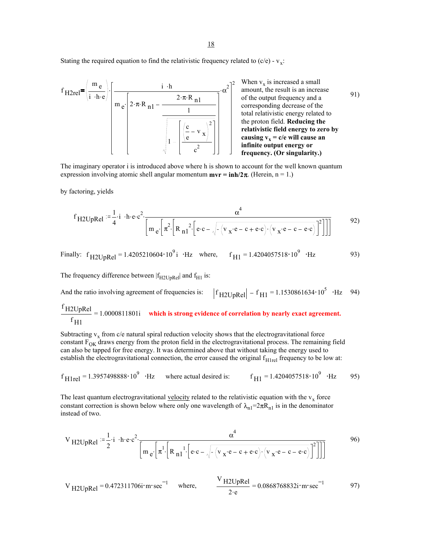18

Stating the required equation to find the relativistic frequency related to  $(c/e) - v_x$ .

$$
f_{H2rel} = \left(\frac{m_e}{i \cdot h \cdot e}\right) \cdot \left[\frac{i \cdot h}{m_e \cdot \left(2 \cdot \pi \cdot R_{n1} - \frac{2 \cdot \pi \cdot R_{n1}}{1}\right)}\right] \cdot \alpha^2\right]^2
$$
 When v<sub>x</sub> is increased a small amount, the result is an increase of the output frequency and a corresponding decrease of the total relativistic energy related to the proton field. Reducing the relationship between the velocity and the velocity. The velocity is the velocity of the output frequency and the velocity of the velocity. The velocity is the velocity of the circuit. The velocity is the velocity of the circuit. The velocity is the velocity of the circuit. The velocity is the velocity of the circuit. The velocity is the velocity of the circuit. The velocity is the velocity of the circuit. The velocity is the velocity of the circuit. The velocity is the velocity of the circuit. The velocity is the velocity of the circuit. The velocity is the velocity of the circuit. The velocity is the velocity of the circuit. The velocity is the velocity of the circuit. The velocity is the velocity of the circuit. The velocity is the velocity of the circuit. The velocity is the velocity of the circuit. The velocity is the velocity of the circuit. The velocity is the velocity of the circuit. The velocity is the velocity of the circuit. The velocity is the velocity of the circuit. The velocity is the velocity of the circuit. The velocity is the velocity of the circuit. The velocity is the velocity of the circuit. The velocity is the velocity of the circuit. The velocity is the velocity of the circuit. The velocity is the velocity of the circuit. The velocity is the velocity of the circuit. The velocity is the velocity of the circuit. The velocity is the velocity of the circuit. The velocity is the velocity of the circuit. The velocity is the velocity of the circuit. The velocity is the velocity of the circuit. The velocity is the velocity of the circuit. The velocity is the velocity of the circuit. The velocity is the velocity of the circuit. The velocity is the velocity of the circuit. The velocity is the velocity of the circuit. The velocity is the velocity of the circuit. The velocity is the velocity of the circuit. The velocity is the velocity of the circuit. The velocity is the velocity of the circuit. The velocity is the velocity of the circuit. The velocity is the velocity of the circuit. The velocity is the velocity of the circuit. The velocity is the velocity of the circuit. The velocity is the velocity of the circuit. The velocity is the velocity of the circuit. The velocity is the velocity of the circuit. The velocity is the velocity of the circuit. The velocity is the velocity of the circuit. The velocity is the velocity of the circuit. The velocity is the velocity of the circuit. The velocity is the velocity of the circuit. The velocity is the velocity of the circuit. The velocity is the velocity of the circuit. The velocity is the velocity of the circuit. The velocity is the velocity of the circuit. The velocity is the velocity of the circuit. The velocity is the velocity of the circuit. The velocity is the velocity of the circuit. The velocity is the velocity of the velocity is the velocity of the circuit. The velocity is the velocity of the circuit. The velocity is the velocity of the circuit. The velocity is the velocity of the circuit. The velocity is the velocity of the circuit. The velocity is the velocity of the circuit. The velocity is the velocity of the circuit. The

The imaginary operator i is introduced above where h is shown to account for the well known quantum expression involving atomic shell angular momentum  $mvr = inh/2\pi$ . (Herein, n = 1.)

by factoring, yields

$$
f_{H2UpRel} := \frac{1}{4} \cdot i \cdot h \cdot e \cdot c^2 \cdot \frac{\alpha^4}{\left[ m e \left[ \pi^2 \left[ R_{n1}^2 \cdot \left[ e \cdot c - \sqrt{\frac{(v_x \cdot e - c + e \cdot c)}{(v_x \cdot e - c + e \cdot c)} \cdot (v_x \cdot e - c - e \cdot c)} \right]^2 \right] \right]}\right]}
$$
92)

Finally:  $f_{H2UpRel} = 1.4205210604 \cdot 10^9 i \cdot Hz$  where,  $f_{H1} = 1.4204057518 \cdot 10^9 \cdot Hz$  93)

The frequency difference between  $|f_{H2UpRel}|$  and  $f_{H1}$  is:

And the ratio involving agreement of frequencies is:  $|f_{H2UpRel}| - f_{H1} = 1.1530861634 \cdot 10^5 \cdot Hz$  94)

$$
\frac{f_{\text{H2UpRel}}}{f_{\text{H1}}} = 1.0000811801\text{i} \quad \text{which is strong evidence of correlation by nearly exact agreement.}
$$

Subtracting  $v_x$  from c/e natural spiral reduction velocity shows that the electrogravitational force constant  $F_{OK}$  draws energy from the proton field in the electrogravitational process. The remaining field can also be tapped for free energy. It was determined above that without taking the energy used to establish the electrogravitational connection, the error caused the original  $f<sub>H1rel</sub>$  frequency to be low at:

$$
f_{\text{H1rel}} = 1.3957498888 \cdot 10^9
$$
 Hz where actual desired is:  $f_{\text{H1}} = 1.4204057518 \cdot 10^9$  Hz 95)

The least quantum electrogravitational velocity related to the relativistic equation with the  $v_x$  force constant correction is shown below where only one wavelength of  $\lambda_{n1}=2\pi R_{n1}$  is in the denominator instead of two.

$$
V_{H2UpRel} := \frac{1}{2} \cdot i \cdot h \cdot e \cdot c^2 \cdot \frac{\alpha^4}{\left[ m e \cdot \left[ \pi^1 \cdot \left[ R_{n1}^1 \cdot \left[ e \cdot c - \sqrt{\frac{(v_x \cdot e - c + e \cdot c)}{(v_x \cdot e - c - e \cdot c)} \cdot (v_x \cdot e - c - e \cdot c)} \right]^2 \right] \right]}\right]}
$$

$$
V_{\text{H2UpRel}} = 0.472311706i \cdot \text{m} \cdot \text{sec}^{-1} \quad \text{where,} \quad \frac{V_{\text{H2UpRel}}}{2 \cdot \text{e}} = 0.0868768832i \cdot \text{m} \cdot \text{sec}^{-1} \quad 97)
$$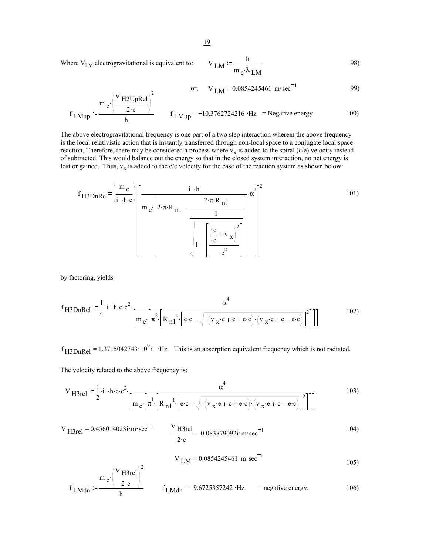Where  $V_{LM}$  electrogravitational is equivalent to:

$$
V_{LM} = \frac{h}{m_e \lambda_{LM}}
$$

or, 
$$
V_{LM} = 0.0854245461 \cdot m \cdot sec^{-1}
$$
 99)

$$
f_{LMup} = \frac{m_e \left(\frac{V_{H2UpRel}}{2 \cdot e}\right)^2}{h} \qquad f_{LMup} = -10.3762724216 \cdot Hz = Negative energy \qquad (100)
$$

The above electrogravitational frequency is one part of a two step interaction wherein the above frequency is the local relativistic action that is instantly transferred through non-local space to a conjugate local space reaction. Therefore, there may be considered a process where  $v_x$  is added to the spiral (c/e) velocity instead of subtracted. This would balance out the energy so that in the closed system interaction, no net energy is lost or gained. Thus,  $v_x$  is added to the c/e velocity for the case of the reaction system as shown below:

$$
f_{\text{H3DnRel}} = \left(\frac{m_e}{i \cdot h \cdot e}\right) \cdot \left[\frac{i \cdot h}{m_e \left[2 \cdot \pi \cdot R_{\text{nl}} - \frac{2 \cdot \pi \cdot R_{\text{nl}}}{1} \right]} \cdot \alpha^2\right]^2
$$
 (101)  

$$
\sqrt{1 - \left[\frac{c}{e} + v_x\right]^2}{}
$$

by factoring, yields

$$
f_{\text{H3DnRel}} := \frac{1}{4} \cdot i \cdot h \cdot e \cdot c^2 \cdot \frac{\alpha^4}{\left[ m e \cdot \left[ \pi^2 \cdot \left[ R_{\text{nl}}^2 \cdot \left[ e \cdot c - \sqrt{\frac{(v_x \cdot e + c + e \cdot c)(v_x \cdot e + c - e \cdot c)}{v_x \cdot e + c - e \cdot c}} \right]^2 \right] \right]}\right]}
$$
 (102)

 $f_{\text{H3DnRel}} = 1.3715042743 \cdot 10^9$  i  $\cdot$  Hz This is an absorption equivalent frequency which is not radiated.

The velocity related to the above frequency is:

$$
V_{\text{H3rel}} := \frac{1}{2} \cdot i \cdot h \cdot e \cdot c^2 \cdot \frac{\alpha^4}{\left[ m e \left[ \pi^1 \left[ R_{\text{nl}}^1 \left[ e \cdot c - \sqrt{\left( v_x \cdot e + c + e \cdot c \right) \cdot \left( v_x \cdot e + c - e \cdot c \right)} \right]^2 \right] \right] \right]}
$$
 (103)

$$
V_{H3rel} = 0.456014023i \cdot m \cdot sec^{-1}
$$

$$
\frac{V_{H3rel}}{2 \cdot e} = 0.083879092i \cdot m \cdot sec^{-1}
$$
 (104)

$$
V_{LM} = 0.0854245461 \cdot m \cdot sec^{-1}
$$

$$
f_{LMdn} = \frac{m_e \left(\frac{V_{H3rel}}{2 \cdot e}\right)^2}{h}
$$
  $f_{LMdn} = -9.6725357242 \cdot Hz$  = negative energy.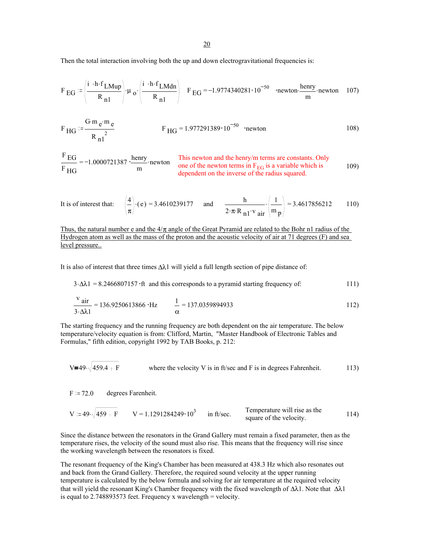20

Then the total interaction involving both the up and down electrogravitational frequencies is:

$$
F_{EG} := \left(\frac{i \cdot h \cdot f_{LMup}}{R_{n1}}\right) \cdot \mu_0 \cdot \left(\frac{i \cdot h \cdot f_{LMdn}}{R_{n1}}\right) \quad F_{EG} = -1.9774340281 \cdot 10^{-50} \quad \text{ 'newton' } \frac{\text{henry}}{\text{m}} \cdot \text{newton} \quad 107)
$$

$$
F_{\text{HG}} = \frac{G \cdot m_e \cdot m_e}{R_{\text{nl}}^2}
$$
  $F_{\text{HG}} = 1.977291389 \cdot 10^{-50}$  'newton

This newton and the henry/m terms are constants. Only  $\frac{\text{cm}}{\text{m}}$  newton terms in F<sub>EG</sub> is a variable which is 109) dependent on the inverse of the radius squared.  $\frac{F}{EG}$  =  $_{\rm F}$  HG 1.0000721387 · henry.

It is of interest that: 
$$
\left(\frac{4}{\pi}\right) \cdot (e) = 3.4610239177
$$
 and  $\frac{h}{2 \cdot \pi \cdot R_{n1} \cdot v \sin} \cdot \left(\frac{1}{m_p}\right) = 3.4617856212$  110)

Thus, the natural number e and the  $4/\pi$  angle of the Great Pyramid are related to the Bohr n1 radius of the Hydrogen atom as well as the mass of the proton and the acoustic velocity of air at 71 degrees (F) and sea level pressure..

It is also of interest that three times ∆λ1 will yield a full length section of pipe distance of:

$$
3.\Delta\lambda 1 = 8.2466807157
$$
 if and this corresponds to a pyramid starting frequency of: 111)

$$
\frac{v \text{ air}}{3.4 \lambda 1} = 136.9250613866 \cdot \text{Hz} \qquad \frac{1}{\alpha} = 137.0359894933
$$
 (112)

The starting frequency and the running frequency are both dependent on the air temperature. The below temperature/velocity equation is from: Clifford, Martin, "Master Handbook of Electronic Tables and Formulas," fifth edition, copyright 1992 by TAB Books, p. 212:

$$
V=49 \cdot \sqrt{459.4 + F}
$$
 where the velocity V is in ft/sec and F is in degrees Fahrenheit.

 $F = 72.0$  degrees Farenheit.

$$
V = 49 \cdot \sqrt{459 + F}
$$
 
$$
V = 1.1291284249 \cdot 10^3
$$
 in ft/sec. Temperature will rise as the square of the velocity.

Since the distance between the resonators in the Grand Gallery must remain a fixed parameter, then as the temperature rises, the velocity of the sound must also rise. This means that the frequency will rise since the working wavelength between the resonators is fixed.

The resonant frequency of the King's Chamber has been measured at 438.3 Hz which also resonates out and back from the Grand Gallery. Therefore, the required sound velocity at the upper running temperature is calculated by the below formula and solving for air temperature at the required velocity that will yield the resonant King's Chamber frequency with the fixed wavelength of ∆λ1. Note that ∆λ1 is equal to 2.748893573 feet. Frequency x wavelength = velocity.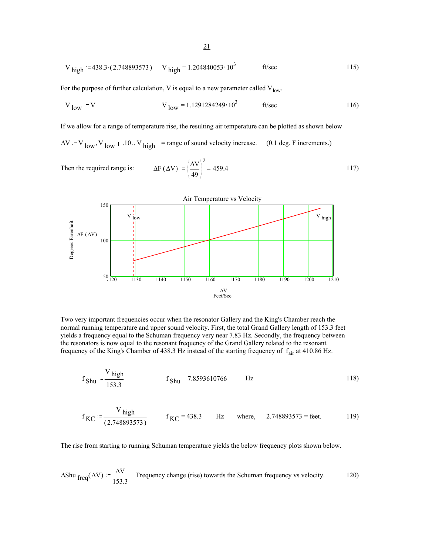$$
V_{\text{high}} = 438.3 \cdot (2.748893573) \qquad V_{\text{high}} = 1.204840053 \cdot 10^3 \qquad \text{ft/sec} \tag{115}
$$

For the purpose of further calculation, V is equal to a new parameter called  $V_{low}$ .

$$
V_{low} = V
$$
  $V_{low} = 1.1291284249 \cdot 10^3$  ft/sec

If we allow for a range of temperature rise, the resulting air temperature can be plotted as shown below

 $\Delta V = V_{low}$ ,  $V_{low} + .10$ .  $V_{high}$  = range of sound velocity increase. (0.1 deg. F increments.)

Then the required range is: 
$$
\Delta F (\Delta V) = \left(\frac{\Delta V}{49}\right)^2 - 459.4
$$
 117)



Two very important frequencies occur when the resonator Gallery and the King's Chamber reach the normal running temperature and upper sound velocity. First, the total Grand Gallery length of 153.3 feet yields a frequency equal to the Schuman frequency very near 7.83 Hz. Secondly, the frequency between the resonators is now equal to the resonant frequency of the Grand Gallery related to the resonant frequency of the King's Chamber of 438.3 Hz instead of the starting frequency of  $f_{air}$  at 410.86 Hz.

$$
f_{\text{Shu}} = \frac{V_{\text{high}}}{153.3}
$$
  $f_{\text{Shu}} = 7.8593610766$  Hz 118)

$$
f_{\text{KC}} = \frac{V_{\text{high}}}{(2.748893573)}
$$
  $f_{\text{KC}} = 438.3$  Hz where, 2.748893573 = feet. 119)

The rise from starting to running Schuman temperature yields the below frequency plots shown below.

$$
\Delta \text{Shu }_{\text{freq}}(\Delta V) := \frac{\Delta V}{153.3}
$$
 Frequency change (rise) towards the Schuman frequency vs velocity. [120]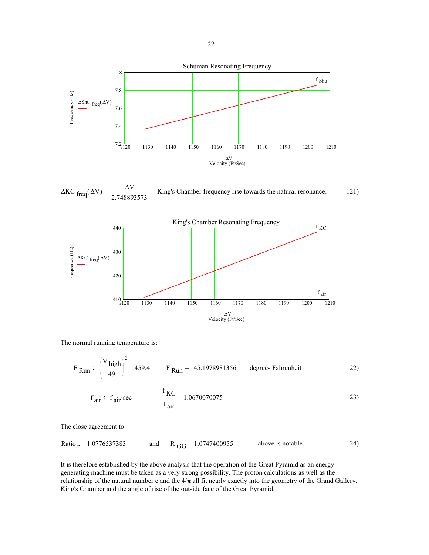

 $\Delta K C$  freq( $\Delta V$ ) =  $\frac{\Delta V}{2.74889}$ 2.748893573 King's Chamber frequency rise towards the natural resonance. 121)



The normal running temperature is:

$$
F_{\text{Run}} = \left(\frac{V_{\text{high}}}{49}\right)^2 - 459.4 \qquad F_{\text{Run}} = 145.1978981356 \qquad \text{degrees Fahrenheit} \tag{122}
$$

$$
f_{\text{air}} = f_{\text{air}} \sec \qquad \qquad \frac{f_{\text{KC}}}{f_{\text{air}}} = 1.0670070075 \tag{123}
$$

The close agreement to

Ratio  $_{r}$  = 1.0776537383 and R  $_{GG}$  = 1.0747400955 above is notable. 124)

It is therefore established by the above analysis that the operation of the Great Pyramid as an energy generating machine must be taken as a very strong possibility. The proton calculations as well as the relationship of the natural number e and the  $4/\pi$  all fit nearly exactly into the geometry of the Grand Gallery, King's Chamber and the angle of rise of the outside face of the Great Pyramid.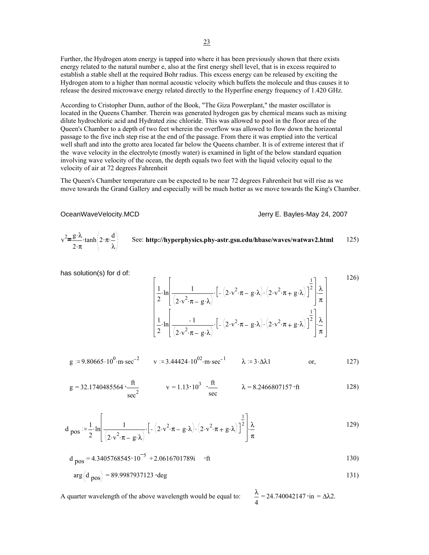Further, the Hydrogen atom energy is tapped into where it has been previously shown that there exists energy related to the natural number e, also at the first energy shell level, that is in excess required to establish a stable shell at the required Bohr radius. This excess energy can be released by exciting the Hydrogen atom to a higher than normal acoustic velocity which buffets the molecule and thus causes it to release the desired microwave energy related directly to the Hyperfine energy frequency of 1.420 GHz.

According to Cristopher Dunn, author of the Book, "The Giza Powerplant," the master oscillator is located in the Queens Chamber. Therein was generated hydrogen gas by chemical means such as mixing dilute hydrochloric acid and Hydrated zinc chloride. This was allowed to pool in the floor area of the Queen's Chamber to a depth of two feet wherein the overflow was allowed to flow down the horizontal passage to the five inch step rise at the end of the passage. From there it was emptied into the vertical well shaft and into the grotto area located far below the Queens chamber. It is of extreme interest that if the wave velocity in the electrolyte (mostly water) is examined in light of the below standard equation involving wave velocity of the ocean, the depth equals two feet with the liquid velocity equal to the velocity of air at 72 degrees Fahrenheit

The Queen's Chamber temperature can be expected to be near 72 degrees Fahrenheit but will rise as we move towards the Grand Gallery and especially will be much hotter as we move towards the King's Chamber.

Jerry E. Bayles-May 24, 2007

24.740042147 • in =  $Δλ2$ .

$$
v^{2} = \frac{g \cdot \lambda}{2 \cdot \pi} \cdot \tanh\left(2 \cdot \pi \cdot \frac{d}{\lambda}\right)
$$
 See: **http://hyperphysics.phy-astr.gsu.edu/hbase/waves/watwav2.html** 125)

has solution(s) for d of:  $126$ 

$$
\frac{1}{2} \cdot \ln \left[ \frac{1}{\left(2 \cdot v^2 \cdot \pi - g \cdot \lambda\right)} \cdot \left[ -\left(2 \cdot v^2 \cdot \pi - g \cdot \lambda\right) \cdot \left(2 \cdot v^2 \cdot \pi + g \cdot \lambda\right) \right]^{\frac{1}{2}} \right] \cdot \frac{\lambda}{\pi}
$$
\n
$$
\frac{1}{2} \cdot \ln \left[ \frac{-1}{\left(2 \cdot v^2 \cdot \pi - g \cdot \lambda\right)} \cdot \left[ -\left(2 \cdot v^2 \cdot \pi - g \cdot \lambda\right) \cdot \left(2 \cdot v^2 \cdot \pi + g \cdot \lambda\right) \right]^{\frac{1}{2}} \right] \cdot \frac{\lambda}{\pi}
$$
\n
$$
\left[ -\left(2 \cdot v^2 \cdot \pi - g \cdot \lambda\right) \cdot \left(2 \cdot v^2 \cdot \pi + g \cdot \lambda\right) \right]^{\frac{1}{2}} \cdot \frac{\lambda}{\pi}
$$

$$
g := 9.80665 \cdot 10^{0} \cdot m \cdot sec^{-2} \qquad v := 3.44424 \cdot 10^{02} \cdot m \cdot sec^{-1} \qquad \lambda := 3 \cdot \Delta \lambda 1 \qquad \text{or,} \qquad 127)
$$

$$
g = 32.1740485564 \cdot \frac{ft}{sec^2} \qquad v = 1.13 \cdot 10^3 \cdot \frac{ft}{sec} \qquad \lambda = 8.2466807157 \cdot ft \qquad (128)
$$

$$
d_{\text{pos}} = \frac{1}{2} \cdot \ln \left[ \frac{1}{\left(2 \cdot v^2 \cdot \pi - g \cdot \lambda\right)} \cdot \left[ -\left(2 \cdot v^2 \cdot \pi - g \cdot \lambda\right) \cdot \left(2 \cdot v^2 \cdot \pi + g \cdot \lambda\right) \right]^{\frac{1}{2}} \right] \cdot \frac{\lambda}{\pi}
$$

$$
d_{\text{pos}} = 4.3405768545 \cdot 10^{-5} + 2.0616701789 \text{i} \quad \text{·ft}
$$

$$
arg(d_{pos}) = 89.9987937123 \cdot deg \tag{131}
$$

A quarter wavelength of the above wavelength would be equal to: 4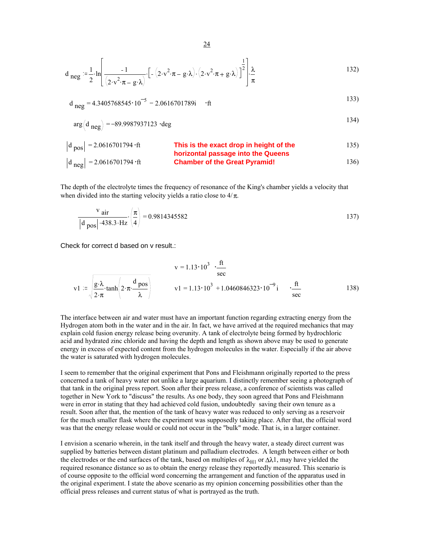$$
d_{neg} = \frac{1}{2} \cdot \ln \left[ \frac{-1}{(2 \cdot v^2 \cdot \pi - g \cdot \lambda)} \cdot \left[ - (2 \cdot v^2 \cdot \pi - g \cdot \lambda) \cdot (2 \cdot v^2 \cdot \pi + g \cdot \lambda) \right]^{\frac{1}{2}} \right] \cdot \frac{\lambda}{\pi}
$$

$$
d_{neg} = 4.3405768545 \cdot 10^{-5} - 2.0616701789i \quad \text{·ft}
$$

$$
arg(d_{neg}) = -89.9987937123 \cdot deg
$$

| $ d_{pos}  = 2.0616701794 \cdot ft$ | This is the exact drop in height of the horizontal passage into the Queens | 135 |
|-------------------------------------|----------------------------------------------------------------------------|-----|
| $ d_{neg}  = 2.0616701794 \cdot ft$ | Channel passes the Great Pyramid!                                          | 136 |

The depth of the electrolyte times the frequency of resonance of the King's chamber yields a velocity that when divided into the starting velocity yields a ratio close to  $4/\pi$ .

$$
\frac{\text{v}}{|\text{d }_{\text{pos}}| \cdot 438.3 \cdot \text{Hz}} \cdot \left(\frac{\pi}{4}\right) = 0.9814345582
$$

Check for correct d based on v result.:

$$
v = 1.13 \cdot 10^{3} \cdot \frac{ft}{sec}
$$
  
\n
$$
v1 := \sqrt{\frac{g \cdot \lambda}{2 \cdot \pi} \cdot \tanh\left(2 \cdot \pi \cdot \frac{d \text{ pos}}{\lambda}\right)}
$$
  
\n
$$
v1 = 1.13 \cdot 10^{3} + 1.0460846323 \cdot 10^{-9} i \cdot \frac{ft}{sec}
$$
  
\n138)

The interface between air and water must have an important function regarding extracting energy from the Hydrogen atom both in the water and in the air. In fact, we have arrived at the required mechanics that may explain cold fusion energy release being overunity. A tank of electrolyte being formed by hydrochloric acid and hydrated zinc chloride and having the depth and length as shown above may be used to generate energy in excess of expected content from the hydrogen molecules in the water. Especially if the air above the water is saturated with hydrogen molecules.

I seem to remember that the original experiment that Pons and Fleishmann originally reported to the press concerned a tank of heavy water not unlike a large aquarium. I distinctly remember seeing a photograph of that tank in the original press report. Soon after their press release, a conference of scientists was called together in New York to "discuss" the results. As one body, they soon agreed that Pons and Fleishmann were in error in stating that they had achieved cold fusion, undoubtedly saving their own tenure as a result. Soon after that, the mention of the tank of heavy water was reduced to only serving as a reservoir for the much smaller flask where the experiment was supposedly taking place. After that, the official word was that the energy release would or could not occur in the "bulk" mode. That is, in a larger container.

I envision a scenario wherein, in the tank itself and through the heavy water, a steady direct current was supplied by batteries between distant platinum and palladium electrodes. A length between either or both the electrodes or the end surfaces of the tank, based on multiples of  $\lambda_{H1}$  or  $\Delta \lambda$ 1, may have yielded the required resonance distance so as to obtain the energy release they reportedly measured. This scenario is of course opposite to the official word concerning the arrangement and function of the apparatus used in the original experiment. I state the above scenario as my opinion concerning possibilities other than the official press releases and current status of what is portrayed as the truth.

24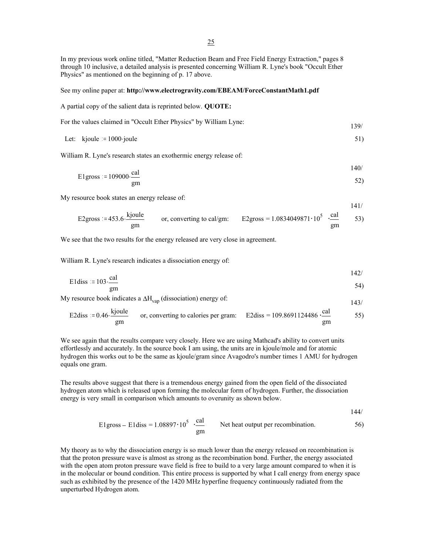In my previous work online titled, "Matter Reduction Beam and Free Field Energy Extraction," pages 8 through 10 inclusive, a detailed analysis is presented concerning William R. Lyne's book "Occult Ether Physics" as mentioned on the beginning of p. 17 above.

#### See my online paper at: **http://www.electrogravity.com/EBEAM/ForceConstantMath1.pdf**

A partial copy of the salient data is reprinted below. **QUOTE:**

| For the values claimed in "Occult Ether Physics" by William Lyne: | 139/ |
|-------------------------------------------------------------------|------|
|                                                                   |      |

Let: 
$$
kjoule = 1000
$$
 joule  $51)$ 

William R. Lyne's research states an exothermic energy release of:

$$
E1 \text{gross} := 109000 \cdot \frac{\text{cal}}{\text{gm}}
$$

My resource book states an energy release of:

$$
E2 \text{gross} := 453.6 \cdot \frac{\text{kjoule}}{\text{top}, \text{ converting to cal/gm:}} \qquad \text{E2} \text{gross} = 1.0834049871 \cdot 10^5 \cdot \frac{\text{cal}}{\text{cal}} \qquad 53)
$$

We see that the two results for the energy released are very close in agreement.

William R. Lyne's research indicates a dissociation energy of:

gm

$$
E1 \text{diss} := 103 \cdot \frac{\text{cal}}{\text{val}}
$$

$$
\frac{1}{\text{cm}} \text{cm}
$$

My resource book indicates a  $\Delta H_{vap}$  (dissociation) energy of: 143/

E2diss = 0.46 
$$
\frac{\text{kjoule}}{\text{gm}}
$$
 or, converting to calories per gram: E2diss = 109.8691124486  $\frac{\text{cal}}{\text{gm}}$  55)

We see again that the results compare very closely. Here we are using Mathcad's ability to convert units effortlessly and accurately. In the source book I am using, the units are in kjoule/mole and for atomic hydrogen this works out to be the same as kjoule/gram since Avagodro's number times 1 AMU for hydrogen equals one gram.

The results above suggest that there is a tremendous energy gained from the open field of the dissociated hydrogen atom which is released upon forming the molecular form of hydrogen. Further, the dissociation energy is very small in comparison which amounts to overunity as shown below.

144/

140/

gm

E1gross – E1diss = 
$$
1.08897 \cdot 10^5
$$
  $\frac{\text{cal}}{\text{gm}}$  Net heat output per recombination.

My theory as to why the dissociation energy is so much lower than the energy released on recombination is that the proton pressure wave is almost as strong as the recombination bond. Further, the energy associated with the open atom proton pressure wave field is free to build to a very large amount compared to when it is in the molecular or bound condition. This entire process is supported by what I call energy from energy space such as exhibited by the presence of the 1420 MHz hyperfine frequency continuously radiated from the unperturbed Hydrogen atom.